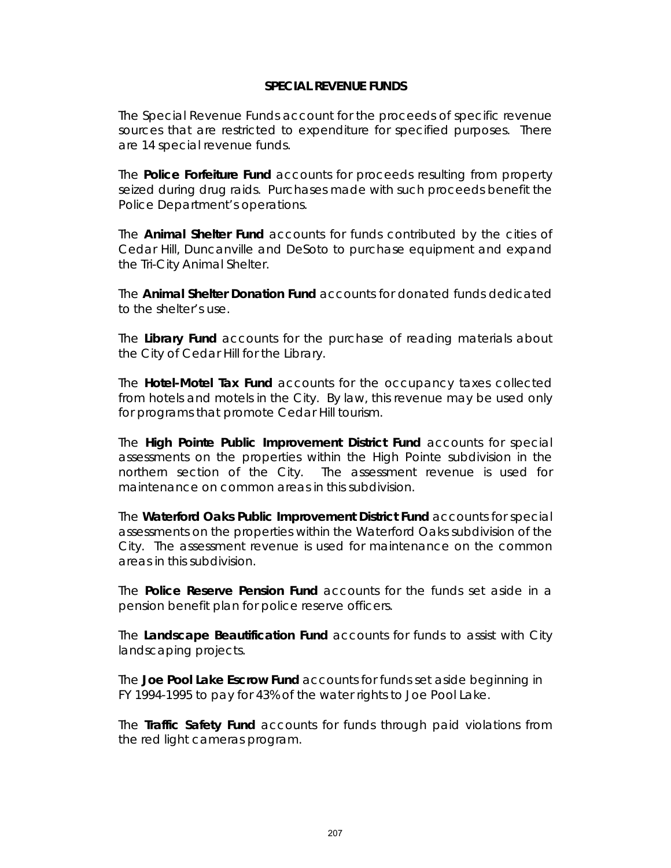The Special Revenue Funds account for the proceeds of specific revenue sources that are restricted to expenditure for specified purposes. There are 14 special revenue funds.

The **Police Forfeiture Fund** accounts for proceeds resulting from property seized during drug raids. Purchases made with such proceeds benefit the Police Department's operations.

The **Animal Shelter Fund** accounts for funds contributed by the cities of Cedar Hill, Duncanville and DeSoto to purchase equipment and expand the Tri-City Animal Shelter.

The **Animal Shelter Donation Fund** accounts for donated funds dedicated to the shelter's use.

The **Library Fund** accounts for the purchase of reading materials about the City of Cedar Hill for the Library.

The **Hotel-Motel Tax Fund** accounts for the occupancy taxes collected from hotels and motels in the City. By law, this revenue may be used only for programs that promote Cedar Hill tourism.

The **High Pointe Public Improvement District Fund** accounts for special assessments on the properties within the High Pointe subdivision in the northern section of the City. The assessment revenue is used for maintenance on common areas in this subdivision.

The **Waterford Oaks Public Improvement District Fund** accounts for special assessments on the properties within the Waterford Oaks subdivision of the City. The assessment revenue is used for maintenance on the common areas in this subdivision.

The **Police Reserve Pension Fund** accounts for the funds set aside in a pension benefit plan for police reserve officers.

The **Landscape Beautification Fund** accounts for funds to assist with City landscaping projects.

The **Joe Pool Lake Escrow Fund** accounts for funds set aside beginning in FY 1994-1995 to pay for 43% of the water rights to Joe Pool Lake.

The **Traffic Safety Fund** accounts for funds through paid violations from the red light cameras program.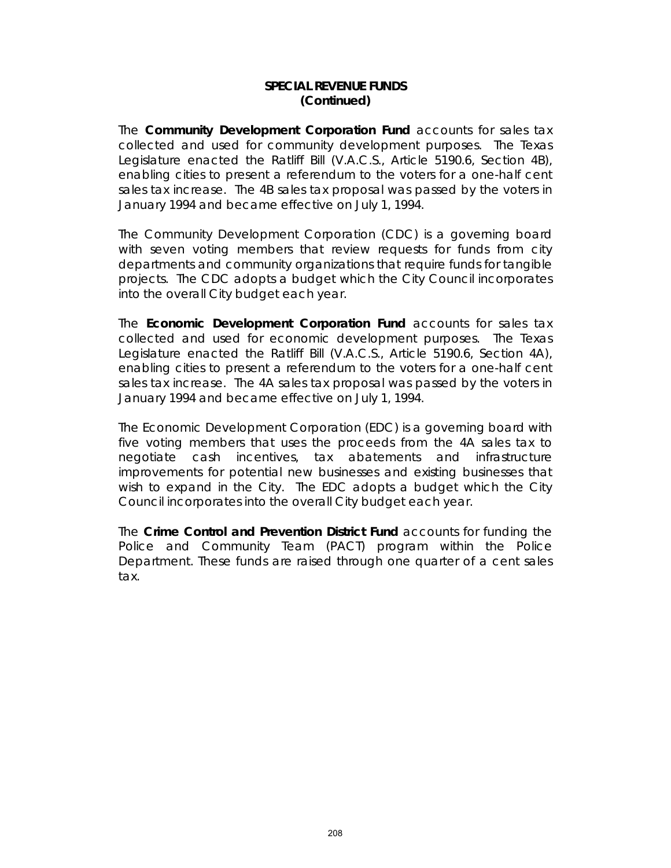#### **SPECIAL REVENUE FUNDS (Continued)**

The **Community Development Corporation Fund** accounts for sales tax collected and used for community development purposes. The Texas Legislature enacted the Ratliff Bill (V.A.C.S., Article 5190.6, Section 4B), enabling cities to present a referendum to the voters for a one-half cent sales tax increase. The 4B sales tax proposal was passed by the voters in January 1994 and became effective on July 1, 1994.

The Community Development Corporation (CDC) is a governing board with seven voting members that review requests for funds from city departments and community organizations that require funds for tangible projects. The CDC adopts a budget which the City Council incorporates into the overall City budget each year.

The **Economic Development Corporation Fund** accounts for sales tax collected and used for economic development purposes. The Texas Legislature enacted the Ratliff Bill (V.A.C.S., Article 5190.6, Section 4A), enabling cities to present a referendum to the voters for a one-half cent sales tax increase. The 4A sales tax proposal was passed by the voters in January 1994 and became effective on July 1, 1994.

The Economic Development Corporation (EDC) is a governing board with five voting members that uses the proceeds from the 4A sales tax to negotiate cash incentives, tax abatements and infrastructure improvements for potential new businesses and existing businesses that wish to expand in the City. The EDC adopts a budget which the City Council incorporates into the overall City budget each year.

The **Crime Control and Prevention District Fund** accounts for funding the Police and Community Team (PACT) program within the Police Department. These funds are raised through one quarter of a cent sales tax.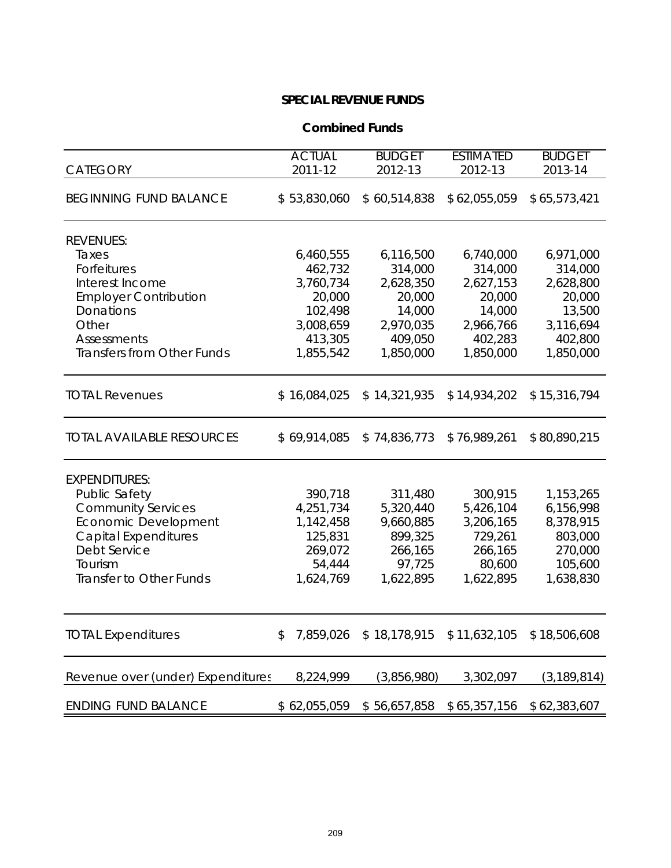#### **Combined Funds**

| <b>CATEGORY</b>                   | <b>ACTUAL</b><br>2011-12 | <b>BUDGET</b><br>2012-13 | <b>ESTIMATED</b><br>2012-13 | <b>BUDGET</b><br>2013-14 |
|-----------------------------------|--------------------------|--------------------------|-----------------------------|--------------------------|
|                                   |                          |                          |                             |                          |
| <b>BEGINNING FUND BALANCE</b>     | \$53,830,060             | \$60,514,838             | \$62,055,059                | \$65,573,421             |
| <b>REVENUES:</b>                  |                          |                          |                             |                          |
| Taxes                             | 6,460,555                | 6,116,500                | 6,740,000                   | 6,971,000                |
| Forfeitures                       | 462,732                  | 314,000                  | 314,000                     | 314,000                  |
| Interest Income                   | 3,760,734                | 2,628,350                | 2,627,153                   | 2,628,800                |
| <b>Employer Contribution</b>      | 20,000                   | 20,000                   | 20,000                      | 20,000                   |
| <b>Donations</b>                  | 102,498                  | 14,000                   | 14,000                      | 13,500                   |
| Other                             | 3,008,659                | 2,970,035                | 2,966,766                   | 3,116,694                |
| <b>Assessments</b>                | 413,305                  | 409,050                  | 402,283                     | 402,800                  |
| <b>Transfers from Other Funds</b> | 1,855,542                | 1,850,000                | 1,850,000                   | 1,850,000                |
| <b>TOTAL Revenues</b>             | \$16,084,025             | \$14,321,935             | \$14,934,202                | \$15,316,794             |
| <b>TOTAL AVAILABLE RESOURCES</b>  | \$69,914,085             | \$74,836,773             | \$76,989,261                | \$80,890,215             |
| <b>EXPENDITURES:</b>              |                          |                          |                             |                          |
| <b>Public Safety</b>              | 390,718                  | 311,480                  | 300,915                     | 1,153,265                |
| <b>Community Services</b>         | 4,251,734                | 5,320,440                | 5,426,104                   | 6,156,998                |
| Economic Development              | 1,142,458                | 9,660,885                | 3,206,165                   | 8,378,915                |
| <b>Capital Expenditures</b>       | 125,831                  | 899,325                  | 729,261                     | 803,000                  |
| Debt Service                      | 269,072                  | 266,165                  | 266,165                     | 270,000                  |
| Tourism                           | 54,444                   | 97,725                   | 80,600                      | 105,600                  |
| Transfer to Other Funds           | 1,624,769                | 1,622,895                | 1,622,895                   | 1,638,830                |
|                                   |                          |                          |                             |                          |
| <b>TOTAL Expenditures</b>         | 7,859,026<br>\$          | \$18,178,915             | \$11,632,105                | \$18,506,608             |
| Revenue over (under) Expenditures | 8,224,999                | (3,856,980)              | 3,302,097                   | (3, 189, 814)            |
| <b>ENDING FUND BALANCE</b>        | \$62,055,059             | \$56,657,858             | \$65,357,156                | \$62,383,607             |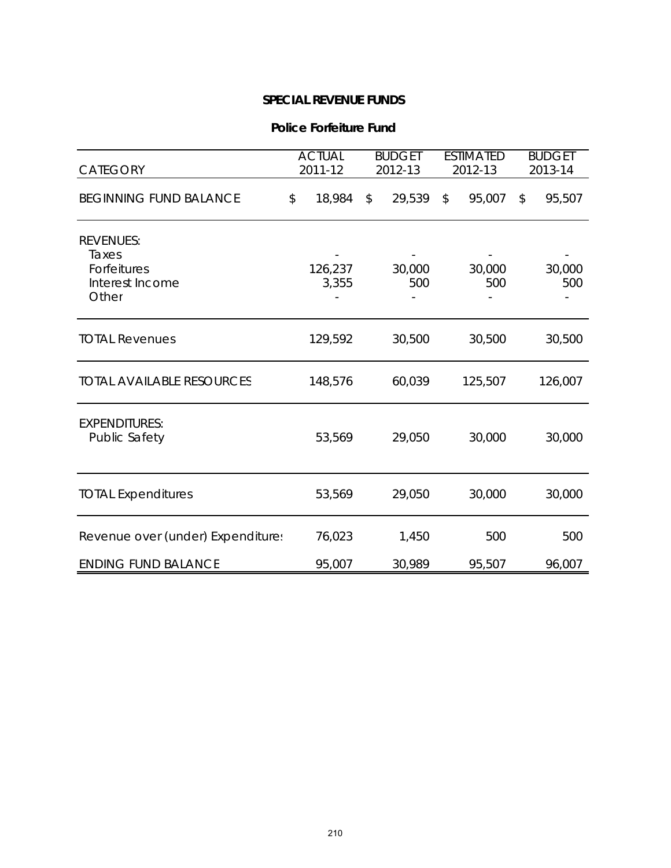#### **Police Forfeiture Fund**

| CATEGORY                                                             | <b>ACTUAL</b><br>2011-12 | <b>BUDGET</b><br>2012-13 | <b>ESTIMATED</b><br>2012-13 | <b>BUDGET</b><br>2013-14 |
|----------------------------------------------------------------------|--------------------------|--------------------------|-----------------------------|--------------------------|
| <b>BEGINNING FUND BALANCE</b>                                        | \$<br>18,984             | 29,539<br>\$             | $\mathfrak{L}$<br>95,007    | 95,507<br>\$             |
| <b>REVENUES:</b><br>Taxes<br>Forfeitures<br>Interest Income<br>Other | 126,237<br>3,355         | 30,000<br>500            | 30,000<br>500               | 30,000<br>500            |
| <b>TOTAL Revenues</b>                                                | 129,592                  | 30,500                   | 30,500                      | 30,500                   |
| <b>TOTAL AVAILABLE RESOURCES</b>                                     | 148,576                  | 60,039                   | 125,507                     | 126,007                  |
| <b>EXPENDITURES:</b><br>Public Safety                                | 53,569                   | 29,050                   | 30,000                      | 30,000                   |
| <b>TOTAL Expenditures</b>                                            | 53,569                   | 29,050                   | 30,000                      | 30,000                   |
| Revenue over (under) Expenditures                                    | 76,023                   | 1,450                    | 500                         | 500                      |
| <b>ENDING FUND BALANCE</b>                                           | 95,007                   | 30,989                   | 95,507                      | 96,007                   |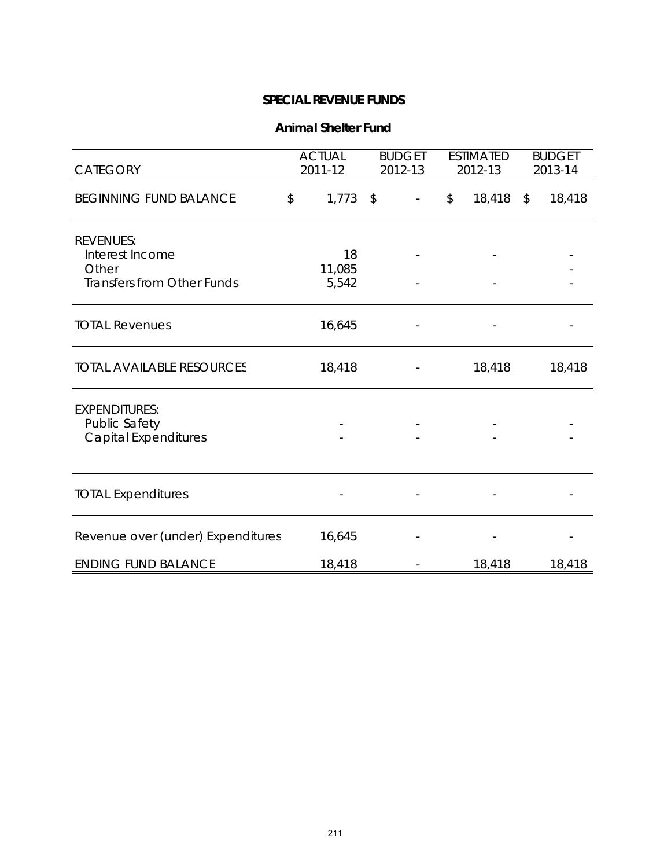#### **Animal Shelter Fund**

| CATEGORY                                                                          | <b>ACTUAL</b><br>2011-12 | <b>BUDGET</b><br><b>ESTIMATED</b><br>2012-13<br>2012-13 |                         | <b>BUDGET</b><br>2013-14 |
|-----------------------------------------------------------------------------------|--------------------------|---------------------------------------------------------|-------------------------|--------------------------|
| <b>BEGINNING FUND BALANCE</b>                                                     | $1,773$ \$<br>\$         | $\overline{\phantom{a}}$                                | 18,418<br>$\frac{1}{2}$ | 18,418<br>$\frac{1}{2}$  |
| <b>REVENUES:</b><br>Interest Income<br>Other<br><b>Transfers from Other Funds</b> | 18<br>11,085<br>5,542    |                                                         |                         |                          |
| <b>TOTAL Revenues</b>                                                             | 16,645                   |                                                         |                         |                          |
| <b>TOTAL AVAILABLE RESOURCES</b>                                                  | 18,418                   |                                                         | 18,418                  | 18,418                   |
| <b>EXPENDITURES:</b><br>Public Safety<br><b>Capital Expenditures</b>              |                          |                                                         |                         |                          |
| <b>TOTAL Expenditures</b>                                                         |                          |                                                         |                         |                          |
| Revenue over (under) Expenditures                                                 | 16,645                   |                                                         |                         |                          |
| <b>ENDING FUND BALANCE</b>                                                        | 18,418                   |                                                         | 18,418                  | 18,418                   |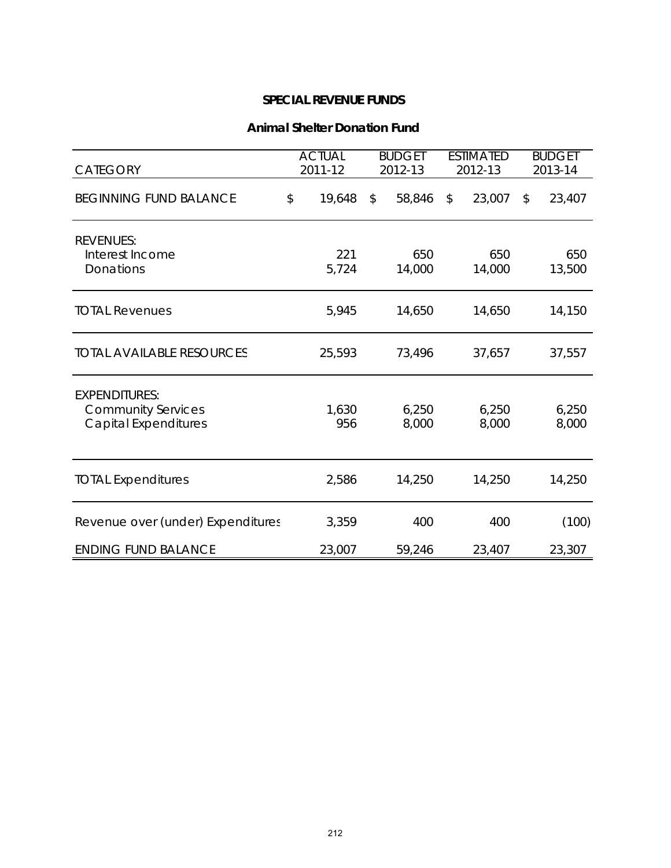#### **Animal Shelter Donation Fund**

| CATEGORY                                                                         | <b>ACTUAL</b><br>2011-12 | <b>BUDGET</b><br>2012-13 | <b>ESTIMATED</b><br>2012-13 | <b>BUDGET</b><br>2013-14 |
|----------------------------------------------------------------------------------|--------------------------|--------------------------|-----------------------------|--------------------------|
| <b>BEGINNING FUND BALANCE</b>                                                    | \$<br>19,648             | 58,846<br>$\mathbb{S}$   | $\mathfrak{P}$<br>23,007    | 23,407<br>\$             |
| <b>REVENUES:</b><br>Interest Income<br>Donations                                 | 221<br>5,724             | 650<br>14,000            | 650<br>14,000               | 650<br>13,500            |
| <b>TOTAL Revenues</b>                                                            | 5,945                    | 14,650                   | 14,650                      | 14,150                   |
| <b>TOTAL AVAILABLE RESOURCES</b>                                                 | 25,593                   | 73,496                   | 37,657                      | 37,557                   |
| <b>EXPENDITURES:</b><br><b>Community Services</b><br><b>Capital Expenditures</b> | 1,630<br>956             | 6,250<br>8,000           | 6,250<br>8,000              | 6,250<br>8,000           |
| <b>TOTAL Expenditures</b>                                                        | 2,586                    | 14,250                   | 14,250                      | 14,250                   |
| Revenue over (under) Expenditures                                                | 3,359                    | 400                      | 400                         | (100)                    |
| <b>ENDING FUND BALANCE</b>                                                       | 23,007                   | 59,246                   | 23,407                      | 23,307                   |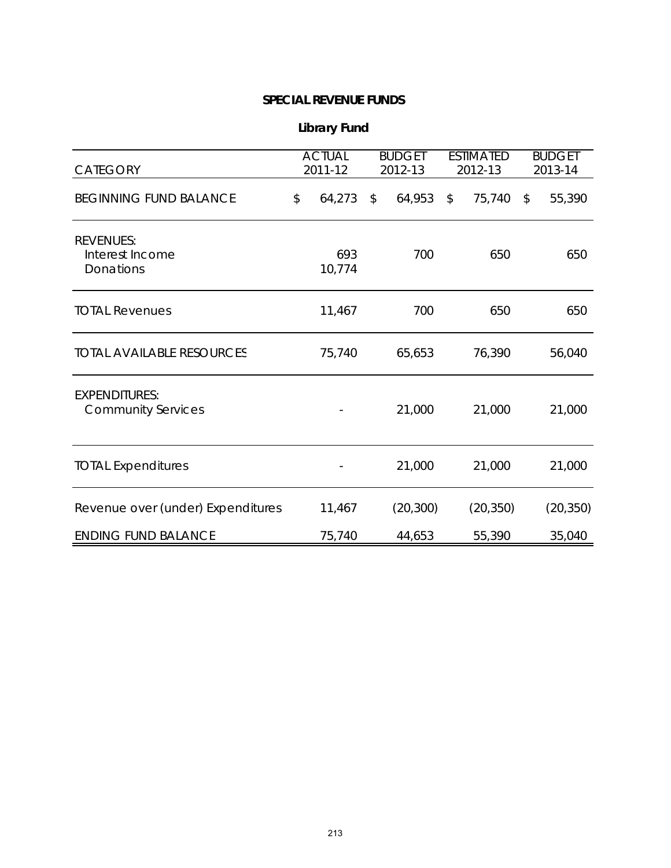| <b>Library Fund</b> |  |
|---------------------|--|
|---------------------|--|

| <b>CATEGORY</b>                                   | <b>ACTUAL</b><br>2011-12 | <b>BUDGET</b><br>2012-13 | <b>ESTIMATED</b><br>2012-13 | <b>BUDGET</b><br>2013-14 |
|---------------------------------------------------|--------------------------|--------------------------|-----------------------------|--------------------------|
| <b>BEGINNING FUND BALANCE</b>                     | \$<br>64,273             | 64,953<br>\$             | $\mathfrak{L}$<br>75,740    | \$<br>55,390             |
| <b>REVENUES:</b><br>Interest Income<br>Donations  | 693<br>10,774            | 700                      | 650                         | 650                      |
| <b>TOTAL Revenues</b>                             | 11,467                   | 700                      | 650                         | 650                      |
| <b>TOTAL AVAILABLE RESOURCES</b>                  | 75,740                   | 65,653                   | 76,390                      | 56,040                   |
| <b>EXPENDITURES:</b><br><b>Community Services</b> |                          | 21,000                   | 21,000                      | 21,000                   |
| <b>TOTAL Expenditures</b>                         |                          | 21,000                   | 21,000                      | 21,000                   |
| Revenue over (under) Expenditures                 | 11,467                   | (20, 300)                | (20, 350)                   | (20, 350)                |
| <b>ENDING FUND BALANCE</b>                        | 75,740                   | 44,653                   | 55,390                      | 35,040                   |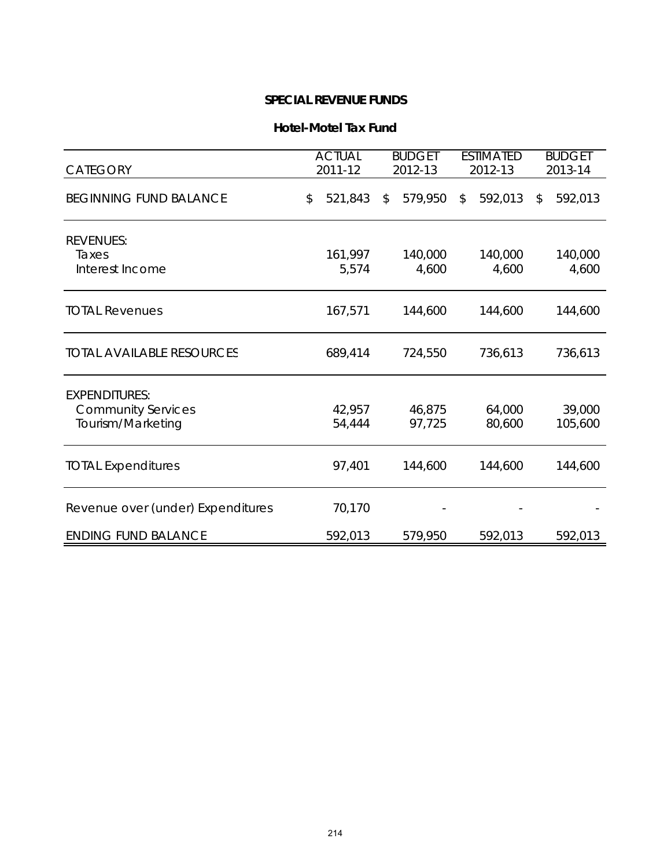#### **Hotel-Motel Tax Fund**

| <b>CATEGORY</b>                                                        | <b>ACTUAL</b><br><b>BUDGET</b><br>2011-12<br>2012-13 |                         | <b>ESTIMATED</b><br>2012-13 |    | <b>BUDGET</b><br>2013-14 |    |                   |
|------------------------------------------------------------------------|------------------------------------------------------|-------------------------|-----------------------------|----|--------------------------|----|-------------------|
| <b>BEGINNING FUND BALANCE</b>                                          | \$<br>521,843                                        | $\sqrt[6]{\frac{1}{2}}$ | 579,950                     | \$ | 592,013                  | \$ | 592,013           |
| <b>REVENUES:</b><br>Taxes<br>Interest Income                           | 161,997<br>5,574                                     |                         | 140,000<br>4,600            |    | 140,000<br>4,600         |    | 140,000<br>4,600  |
| <b>TOTAL Revenues</b>                                                  | 167,571                                              |                         | 144,600                     |    | 144,600                  |    | 144,600           |
| <b>TOTAL AVAILABLE RESOURCES</b>                                       | 689,414                                              |                         | 724,550                     |    | 736,613                  |    | 736,613           |
| <b>EXPENDITURES:</b><br><b>Community Services</b><br>Tourism/Marketing | 42,957<br>54,444                                     |                         | 46,875<br>97,725            |    | 64,000<br>80,600         |    | 39,000<br>105,600 |
| <b>TOTAL Expenditures</b>                                              | 97,401                                               |                         | 144,600                     |    | 144,600                  |    | 144,600           |
| Revenue over (under) Expenditures                                      | 70,170                                               |                         |                             |    |                          |    |                   |
| <b>ENDING FUND BALANCE</b>                                             | 592,013                                              |                         | 579,950                     |    | 592,013                  |    | 592,013           |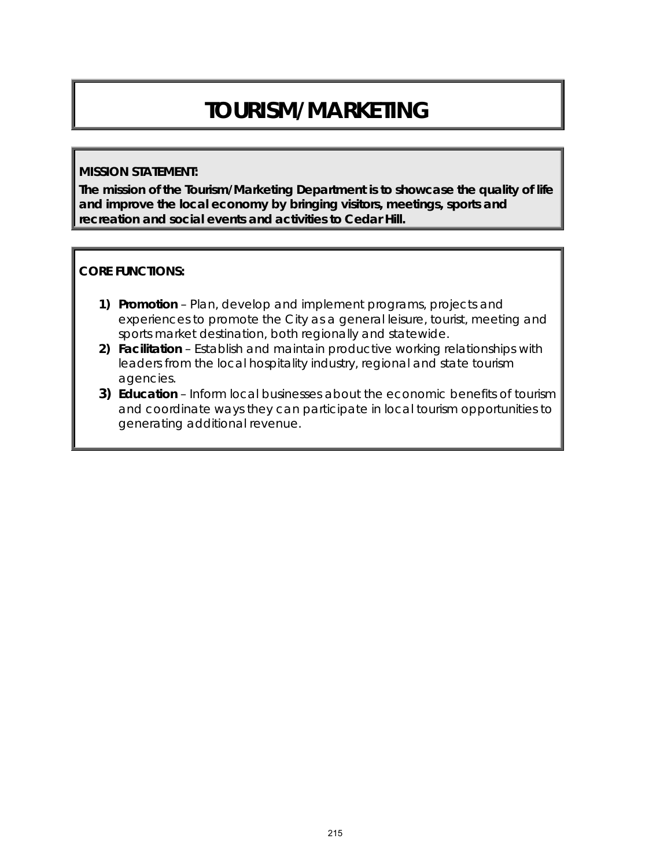# **TOURISM/MARKETING**

#### **MISSION STATEMENT:**

**The mission of the Tourism/Marketing Department is to showcase the quality of life and improve the local economy by bringing visitors, meetings, sports and recreation and social events and activities to Cedar Hill.**

#### **CORE FUNCTIONS:**

- **1) Promotion** Plan, develop and implement programs, projects and experiences to promote the City as a general leisure, tourist, meeting and sports market destination, both regionally and statewide.
- **2) Facilitation** Establish and maintain productive working relationships with leaders from the local hospitality industry, regional and state tourism agencies.
- **3) Education** Inform local businesses about the economic benefits of tourism and coordinate ways they can participate in local tourism opportunities to generating additional revenue.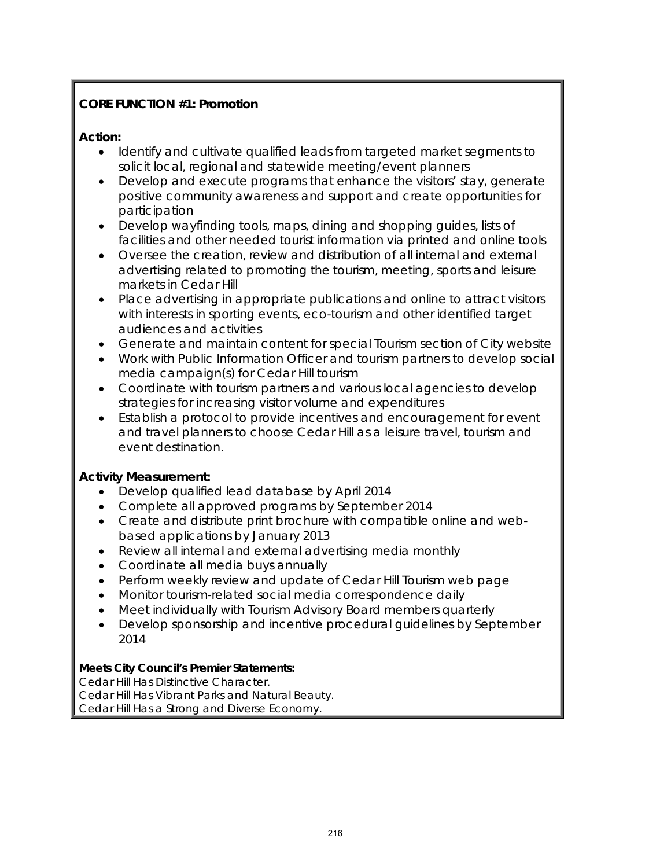# **CORE FUNCTION #1: Promotion**

## **Action:**

- Identify and cultivate qualified leads from targeted market segments to solicit local, regional and statewide meeting/event planners
- Develop and execute programs that enhance the visitors' stay, generate positive community awareness and support and create opportunities for participation
- Develop wayfinding tools, maps, dining and shopping guides, lists of facilities and other needed tourist information via printed and online tools
- Oversee the creation, review and distribution of all internal and external advertising related to promoting the tourism, meeting, sports and leisure markets in Cedar Hill
- Place advertising in appropriate publications and online to attract visitors with interests in sporting events, eco-tourism and other identified target audiences and activities
- Generate and maintain content for special Tourism section of City website
- Work with Public Information Officer and tourism partners to develop social media campaign(s) for Cedar Hill tourism
- Coordinate with tourism partners and various local agencies to develop strategies for increasing visitor volume and expenditures
- Establish a protocol to provide incentives and encouragement for event and travel planners to choose Cedar Hill as a leisure travel, tourism and event destination.

## **Activity Measurement:**

- Develop qualified lead database by April 2014
- Complete all approved programs by September 2014
- Create and distribute print brochure with compatible online and webbased applications by January 2013
- Review all internal and external advertising media monthly
- Coordinate all media buys annually
- Perform weekly review and update of Cedar Hill Tourism web page
- Monitor tourism-related social media correspondence daily
- Meet individually with Tourism Advisory Board members quarterly
- Develop sponsorship and incentive procedural guidelines by September 2014

#### **Meets City Council's Premier Statements:**

Cedar Hill Has Distinctive Character. Cedar Hill Has Vibrant Parks and Natural Beauty. Cedar Hill Has a Strong and Diverse Economy.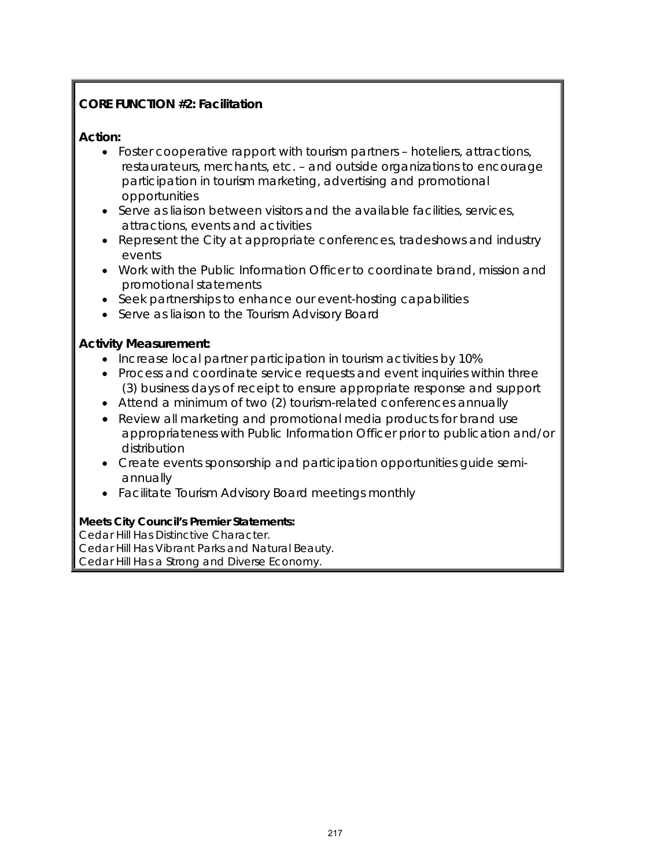# **CORE FUNCTION #2: Facilitation**

## **Action:**

- Foster cooperative rapport with tourism partners hoteliers, attractions, restaurateurs, merchants, etc. – and outside organizations to encourage participation in tourism marketing, advertising and promotional opportunities
- Serve as liaison between visitors and the available facilities, services, attractions, events and activities
- Represent the City at appropriate conferences, tradeshows and industry events
- Work with the Public Information Officer to coordinate brand, mission and promotional statements
- Seek partnerships to enhance our event-hosting capabilities
- Serve as liaison to the Tourism Advisory Board

## **Activity Measurement:**

- Increase local partner participation in tourism activities by 10%
- Process and coordinate service requests and event inquiries within three (3) business days of receipt to ensure appropriate response and support
- Attend a minimum of two (2) tourism-related conferences annually
- Review all marketing and promotional media products for brand use appropriateness with Public Information Officer prior to publication and/or distribution
- Create events sponsorship and participation opportunities guide semiannually
- Facilitate Tourism Advisory Board meetings monthly

#### **Meets City Council's Premier Statements:**

Cedar Hill Has Distinctive Character. Cedar Hill Has Vibrant Parks and Natural Beauty. Cedar Hill Has a Strong and Diverse Economy.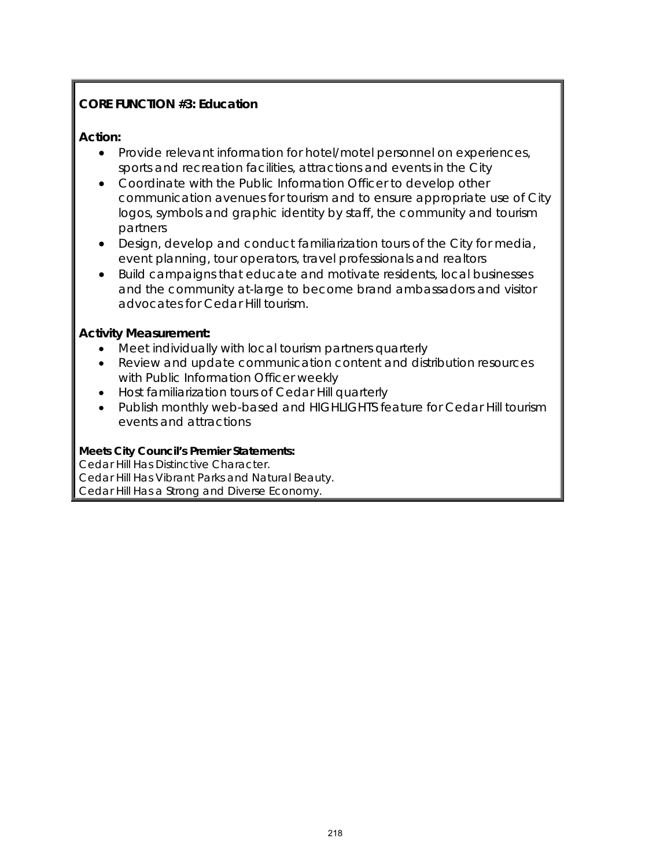## **CORE FUNCTION #3: Education**

#### **Action:**

- Provide relevant information for hotel/motel personnel on experiences, sports and recreation facilities, attractions and events in the City
- Coordinate with the Public Information Officer to develop other communication avenues for tourism and to ensure appropriate use of City logos, symbols and graphic identity by staff, the community and tourism partners
- Design, develop and conduct familiarization tours of the City for media, event planning, tour operators, travel professionals and realtors
- Build campaigns that educate and motivate residents, local businesses and the community at-large to become brand ambassadors and visitor advocates for Cedar Hill tourism.

## **Activity Measurement:**

- Meet individually with local tourism partners quarterly
- Review and update communication content and distribution resources with Public Information Officer weekly
- Host familiarization tours of Cedar Hill quarterly
- Publish monthly web-based and HIGHLIGHTS feature for Cedar Hill tourism events and attractions

#### **Meets City Council's Premier Statements:**

Cedar Hill Has Distinctive Character. Cedar Hill Has Vibrant Parks and Natural Beauty. Cedar Hill Has a Strong and Diverse Economy.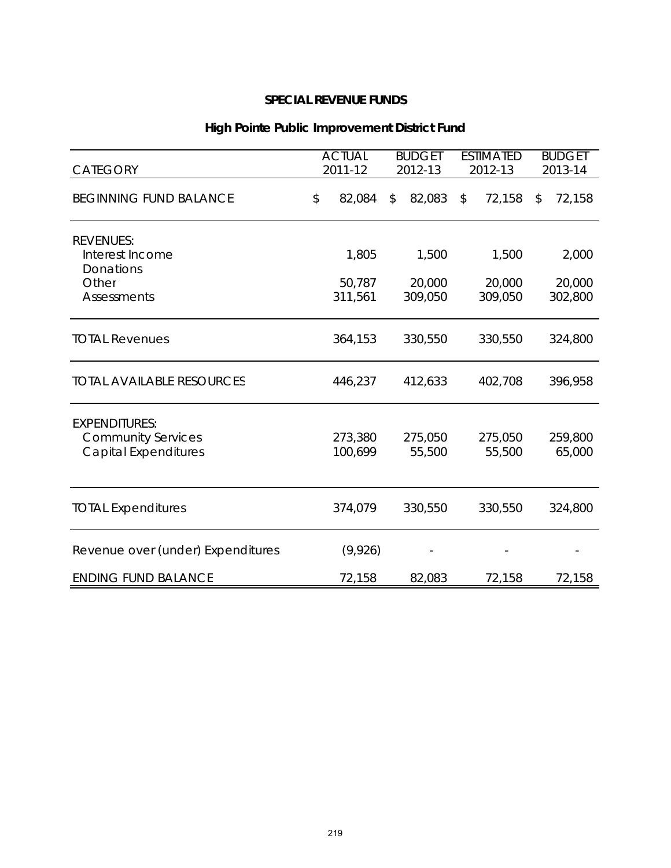| <b>CATEGORY</b>                                                                        | <b>ACTUAL</b><br>2011-12   | <b>BUDGET</b><br>2012-13 |                            | <b>ESTIMATED</b><br>2012-13 |                            | <b>BUDGET</b><br>2013-14   |
|----------------------------------------------------------------------------------------|----------------------------|--------------------------|----------------------------|-----------------------------|----------------------------|----------------------------|
| <b>BEGINNING FUND BALANCE</b>                                                          | \$<br>82,084               | \$                       | 82,083                     | \$                          | 72,158                     | \$<br>72,158               |
| <b>REVENUES:</b><br>Interest Income<br><b>Donations</b><br>Other<br><b>Assessments</b> | 1,805<br>50,787<br>311,561 |                          | 1,500<br>20,000<br>309,050 |                             | 1,500<br>20,000<br>309,050 | 2,000<br>20,000<br>302,800 |
| <b>TOTAL Revenues</b>                                                                  | 364,153                    |                          | 330,550                    |                             | 330,550                    | 324,800                    |
| <b>TOTAL AVAILABLE RESOURCES</b>                                                       | 446,237                    |                          | 412,633                    |                             | 402,708                    | 396,958                    |
| <b>EXPENDITURES:</b><br><b>Community Services</b><br><b>Capital Expenditures</b>       | 273,380<br>100,699         |                          | 275,050<br>55,500          |                             | 275,050<br>55,500          | 259,800<br>65,000          |
| <b>TOTAL Expenditures</b>                                                              | 374,079                    |                          | 330,550                    |                             | 330,550                    | 324,800                    |
| Revenue over (under) Expenditures                                                      | (9,926)                    |                          |                            |                             |                            |                            |
| <b>ENDING FUND BALANCE</b>                                                             | 72,158                     |                          | 82,083                     |                             | 72,158                     | 72,158                     |

# **High Pointe Public Improvement District Fund**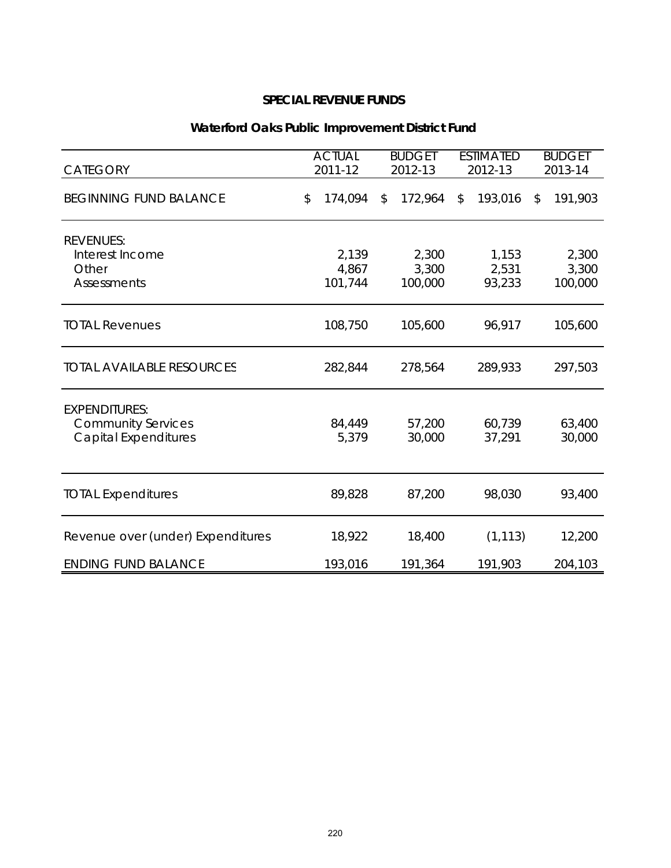| <b>CATEGORY</b>                                                                  | <b>ACTUAL</b><br><b>BUDGET</b><br>2011-12<br>2012-13 |              | <b>ESTIMATED</b><br>2012-13 |                          | <b>BUDGET</b><br>2013-14 |                           |
|----------------------------------------------------------------------------------|------------------------------------------------------|--------------|-----------------------------|--------------------------|--------------------------|---------------------------|
| <b>BEGINNING FUND BALANCE</b>                                                    | \$<br>174,094                                        | $\mathbb{S}$ | 172,964                     | \$<br>193,016            | \$                       | 191,903                   |
| <b>REVENUES:</b><br>Interest Income<br>Other<br><b>Assessments</b>               | 2,139<br>4,867<br>101,744                            |              | 2,300<br>3,300<br>100,000   | 1,153<br>2,531<br>93,233 |                          | 2,300<br>3,300<br>100,000 |
| <b>TOTAL Revenues</b>                                                            | 108,750                                              |              | 105,600                     | 96,917                   |                          | 105,600                   |
| <b>TOTAL AVAILABLE RESOURCES</b>                                                 | 282,844                                              |              | 278,564                     | 289,933                  |                          | 297,503                   |
| <b>EXPENDITURES:</b><br><b>Community Services</b><br><b>Capital Expenditures</b> | 84,449<br>5,379                                      |              | 57,200<br>30,000            | 60,739<br>37,291         |                          | 63,400<br>30,000          |
| <b>TOTAL Expenditures</b>                                                        | 89,828                                               |              | 87,200                      | 98,030                   |                          | 93,400                    |
| Revenue over (under) Expenditures                                                | 18,922                                               |              | 18,400                      | (1, 113)                 |                          | 12,200                    |
| <b>ENDING FUND BALANCE</b>                                                       | 193,016                                              |              | 191,364                     | 191,903                  |                          | 204,103                   |

# **Waterford Oaks Public Improvement District Fund**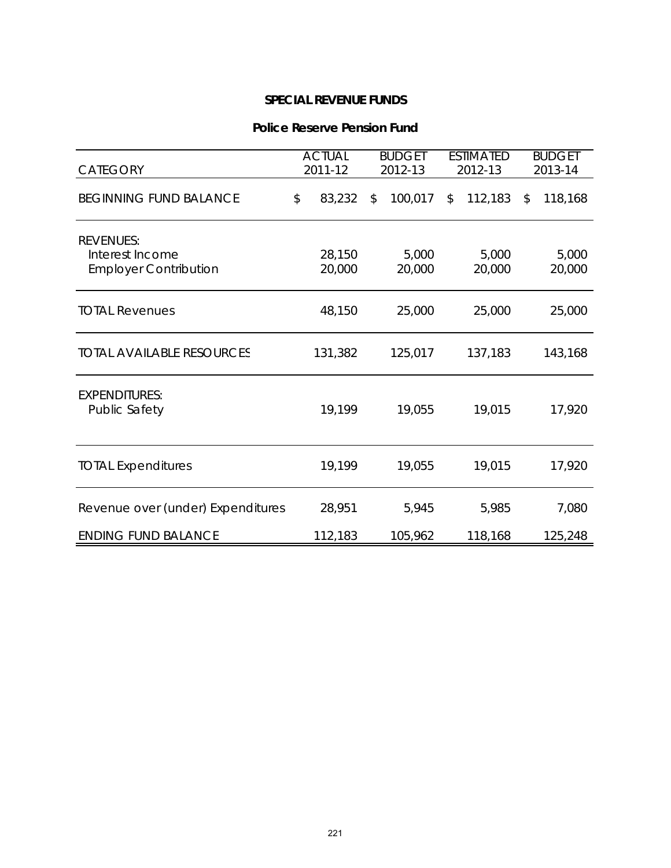#### **Police Reserve Pension Fund**

| <b>CATEGORY</b>                                                     | <b>ACTUAL</b><br>2011-12 | <b>BUDGET</b><br>2012-13 |                 | <b>ESTIMATED</b><br>2012-13 |                 | <b>BUDGET</b><br>2013-14 |
|---------------------------------------------------------------------|--------------------------|--------------------------|-----------------|-----------------------------|-----------------|--------------------------|
| <b>BEGINNING FUND BALANCE</b>                                       | \$<br>83,232             | \$                       | 100,017         | \$                          | 112,183         | \$<br>118,168            |
| <b>REVENUES:</b><br>Interest Income<br><b>Employer Contribution</b> | 28,150<br>20,000         |                          | 5,000<br>20,000 |                             | 5,000<br>20,000 | 5,000<br>20,000          |
| <b>TOTAL Revenues</b>                                               | 48,150                   |                          | 25,000          |                             | 25,000          | 25,000                   |
| <b>TOTAL AVAILABLE RESOURCES</b>                                    | 131,382                  |                          | 125,017         |                             | 137,183         | 143,168                  |
| <b>EXPENDITURES:</b><br><b>Public Safety</b>                        | 19,199                   |                          | 19,055          |                             | 19,015          | 17,920                   |
| <b>TOTAL Expenditures</b>                                           | 19,199                   |                          | 19,055          |                             | 19,015          | 17,920                   |
| Revenue over (under) Expenditures                                   | 28,951                   |                          | 5,945           |                             | 5,985           | 7,080                    |
| <b>ENDING FUND BALANCE</b>                                          | 112,183                  |                          | 105,962         |                             | 118,168         | 125,248                  |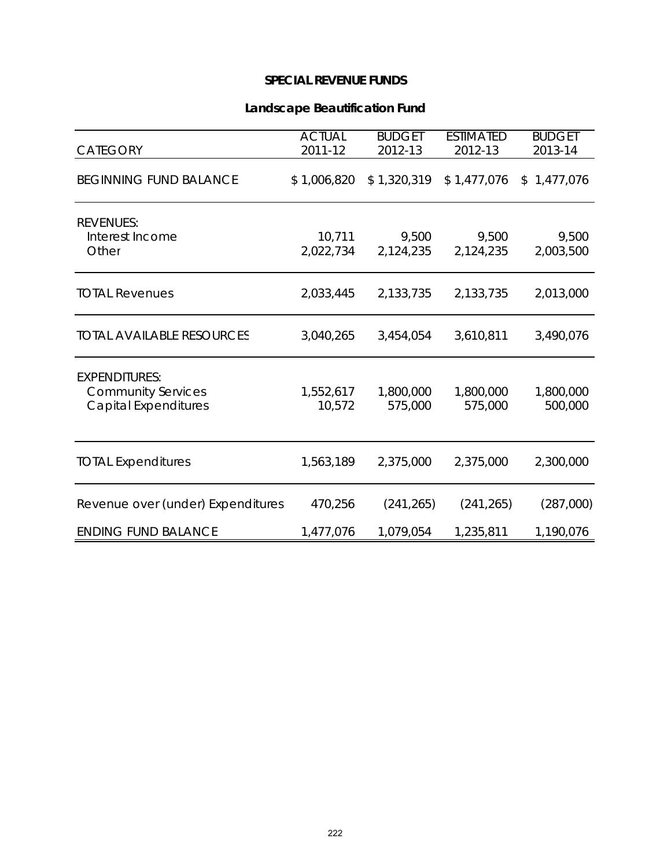## **Landscape Beautification Fund**

| CATEGORY                                                                         | <b>ACTUAL</b><br>2011-12 | <b>BUDGET</b><br>2012-13 | <b>ESTIMATED</b><br>2012-13 | <b>BUDGET</b><br>2013-14 |
|----------------------------------------------------------------------------------|--------------------------|--------------------------|-----------------------------|--------------------------|
| <b>BEGINNING FUND BALANCE</b>                                                    | \$1,006,820              | \$1,320,319              | \$1,477,076                 | \$1,477,076              |
| <b>REVENUES:</b><br>Interest Income<br>Other                                     | 10,711<br>2,022,734      | 9,500<br>2,124,235       | 9,500<br>2,124,235          | 9,500<br>2,003,500       |
| <b>TOTAL Revenues</b>                                                            | 2,033,445                | 2,133,735                | 2,133,735                   | 2,013,000                |
| <b>TOTAL AVAILABLE RESOURCES</b>                                                 | 3,040,265                | 3,454,054                | 3,610,811                   | 3,490,076                |
| <b>EXPENDITURES:</b><br><b>Community Services</b><br><b>Capital Expenditures</b> | 1,552,617<br>10,572      | 1,800,000<br>575,000     | 1,800,000<br>575,000        | 1,800,000<br>500,000     |
| <b>TOTAL Expenditures</b>                                                        | 1,563,189                | 2,375,000                | 2,375,000                   | 2,300,000                |
| Revenue over (under) Expenditures                                                | 470,256                  | (241, 265)               | (241, 265)                  | (287,000)                |
| <b>ENDING FUND BALANCE</b>                                                       | 1,477,076                | 1,079,054                | 1,235,811                   | 1,190,076                |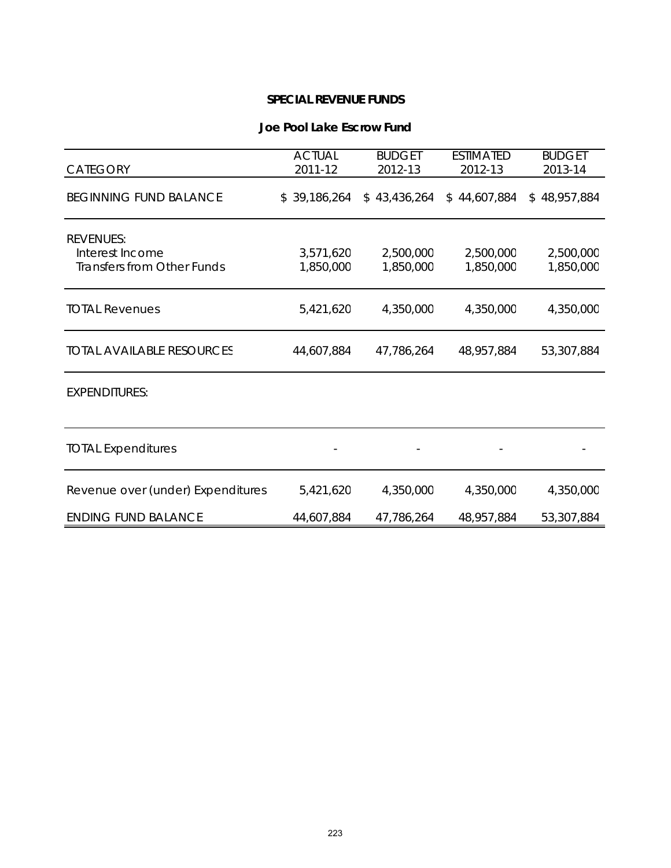#### **Joe Pool Lake Escrow Fund**

| <b>CATEGORY</b>                                                          | <b>ACTUAL</b><br>2011-12 | <b>BUDGET</b><br>2012-13 | <b>BUDGET</b><br>2013-14 |                        |  |
|--------------------------------------------------------------------------|--------------------------|--------------------------|--------------------------|------------------------|--|
| <b>BEGINNING FUND BALANCE</b>                                            | \$39,186,264             | \$43,436,264             | \$44,607,884             | \$48,957,884           |  |
| <b>REVENUES:</b><br>Interest Income<br><b>Transfers from Other Funds</b> | 3,571,620<br>1,850,000   | 2,500,000<br>1,850,000   | 2,500,000<br>1,850,000   | 2,500,000<br>1,850,000 |  |
| <b>TOTAL Revenues</b>                                                    | 5,421,620                | 4,350,000                | 4,350,000                | 4,350,000              |  |
| <b>TOTAL AVAILABLE RESOURCES</b>                                         | 44,607,884               | 47,786,264               | 48,957,884               | 53,307,884             |  |
| <b>EXPENDITURES:</b>                                                     |                          |                          |                          |                        |  |
| <b>TOTAL Expenditures</b>                                                |                          |                          |                          |                        |  |
| Revenue over (under) Expenditures                                        | 5,421,620                | 4,350,000                | 4,350,000                | 4,350,000              |  |
| <b>ENDING FUND BALANCE</b>                                               | 44,607,884               | 47,786,264               | 48,957,884               | 53,307,884             |  |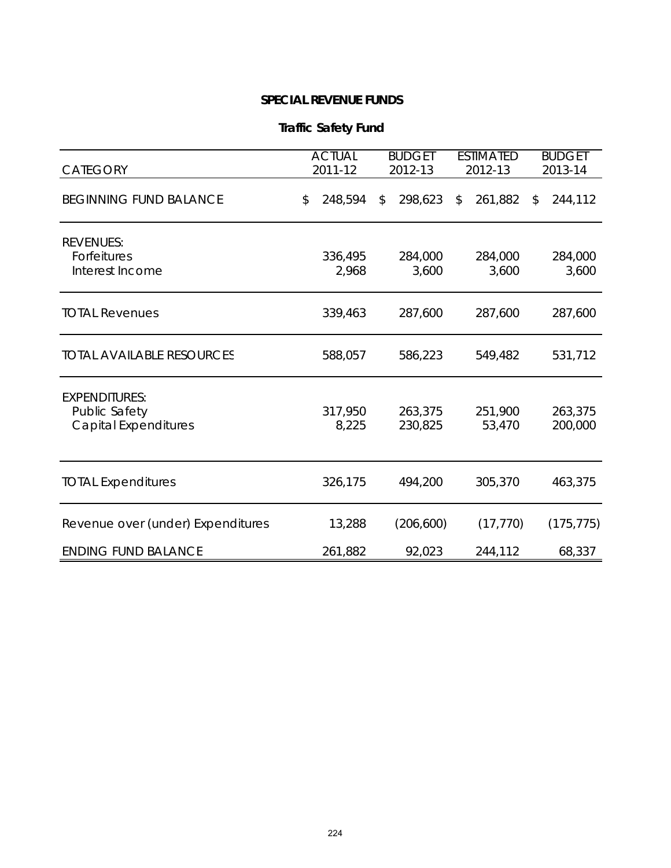| <b>Traffic Safety Fund</b> |
|----------------------------|
|----------------------------|

| <b>CATEGORY</b>                                                      | <b>ACTUAL</b><br>2011-12 |                  | <b>BUDGET</b><br>2012-13 |                    | <b>ESTIMATED</b><br>2012-13 |                   |                         | <b>BUDGET</b><br>2013-14 |
|----------------------------------------------------------------------|--------------------------|------------------|--------------------------|--------------------|-----------------------------|-------------------|-------------------------|--------------------------|
| <b>BEGINNING FUND BALANCE</b>                                        | \$                       | 248,594          | \$                       | 298,623            | $\sqrt{3}$                  | 261,882           | $\sqrt[6]{\frac{1}{2}}$ | 244,112                  |
| <b>REVENUES:</b><br>Forfeitures<br>Interest Income                   |                          | 336,495<br>2,968 |                          | 284,000<br>3,600   |                             | 284,000<br>3,600  |                         | 284,000<br>3,600         |
| <b>TOTAL Revenues</b>                                                |                          | 339,463          |                          | 287,600            |                             | 287,600           |                         | 287,600                  |
| <b>TOTAL AVAILABLE RESOURCES</b>                                     |                          | 588,057          |                          | 586,223            |                             | 549,482           |                         | 531,712                  |
| <b>EXPENDITURES:</b><br>Public Safety<br><b>Capital Expenditures</b> |                          | 317,950<br>8,225 |                          | 263,375<br>230,825 |                             | 251,900<br>53,470 |                         | 263,375<br>200,000       |
| <b>TOTAL Expenditures</b>                                            |                          | 326,175          |                          | 494,200            |                             | 305,370           |                         | 463,375                  |
| Revenue over (under) Expenditures                                    |                          | 13,288           |                          | (206, 600)         |                             | (17, 770)         |                         | (175, 775)               |
| <b>ENDING FUND BALANCE</b>                                           |                          | 261,882          |                          | 92,023             |                             | 244,112           |                         | 68,337                   |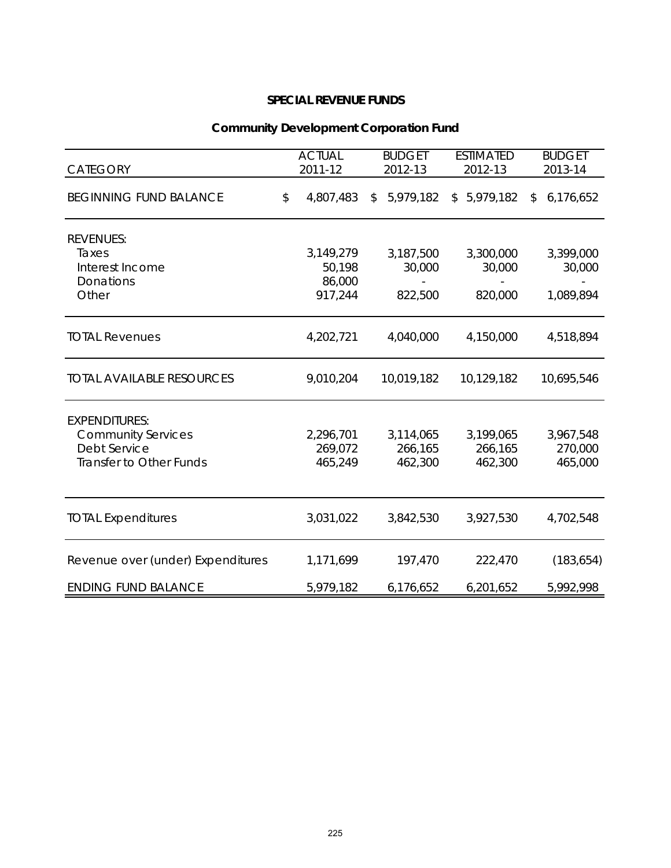| <b>CATEGORY</b>                                                                                     | <b>ACTUAL</b><br>2011-12                 | <b>BUDGET</b><br>2012-13 |                                 |              | <b>ESTIMATED</b><br>2012-13     | <b>BUDGET</b><br>2013-14         |
|-----------------------------------------------------------------------------------------------------|------------------------------------------|--------------------------|---------------------------------|--------------|---------------------------------|----------------------------------|
| <b>BEGINNING FUND BALANCE</b>                                                                       | \$<br>4,807,483                          | $\mathcal{L}$            | 5,979,182                       | $\mathbb{S}$ | 5,979,182                       | \$<br>6,176,652                  |
| <b>REVENUES:</b><br>Taxes<br>Interest Income<br>Donations<br>Other                                  | 3,149,279<br>50,198<br>86,000<br>917,244 |                          | 3,187,500<br>30,000<br>822,500  |              | 3,300,000<br>30,000<br>820,000  | 3,399,000<br>30,000<br>1,089,894 |
| <b>TOTAL Revenues</b>                                                                               | 4,202,721                                |                          | 4,040,000                       |              | 4,150,000                       | 4,518,894                        |
| <b>TOTAL AVAILABLE RESOURCES</b>                                                                    | 9,010,204                                |                          | 10,019,182                      |              | 10,129,182                      | 10,695,546                       |
| <b>EXPENDITURES:</b><br><b>Community Services</b><br><b>Debt Service</b><br>Transfer to Other Funds | 2,296,701<br>269,072<br>465,249          |                          | 3,114,065<br>266,165<br>462,300 |              | 3,199,065<br>266,165<br>462,300 | 3,967,548<br>270,000<br>465,000  |
| <b>TOTAL Expenditures</b>                                                                           | 3,031,022                                |                          | 3,842,530                       |              | 3,927,530                       | 4,702,548                        |
| Revenue over (under) Expenditures                                                                   | 1,171,699                                |                          | 197,470                         |              | 222,470                         | (183, 654)                       |
| <b>ENDING FUND BALANCE</b>                                                                          | 5,979,182                                |                          | 6,176,652                       |              | 6,201,652                       | 5,992,998                        |

# **Community Development Corporation Fund**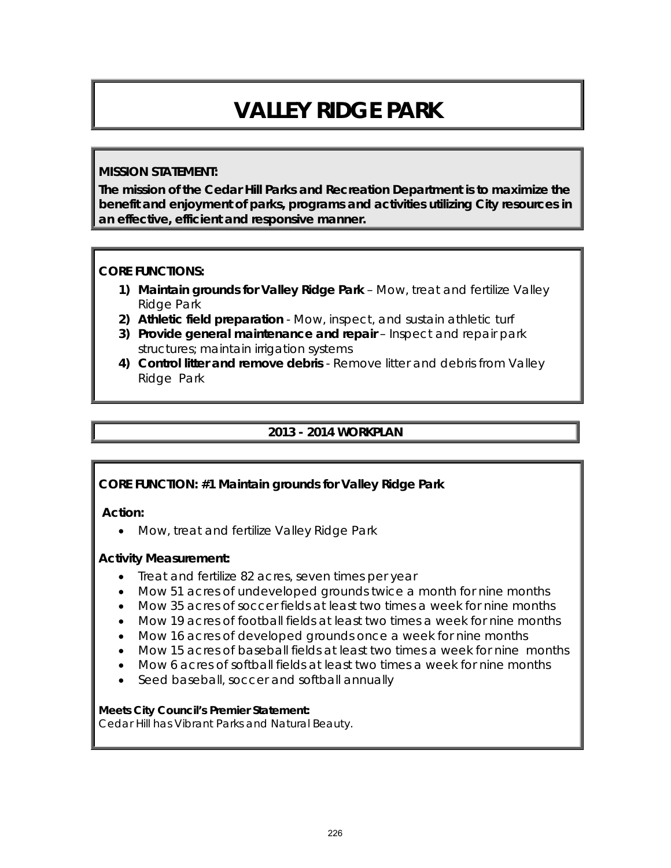# **VALLEY RIDGE PARK**

#### **MISSION STATEMENT:**

**The mission of the Cedar Hill Parks and Recreation Department is to maximize the benefit and enjoyment of parks, programs and activities utilizing City resources in an effective, efficient and responsive manner.**

#### **CORE FUNCTIONS:**

- **1) Maintain grounds for Valley Ridge Park** Mow, treat and fertilize Valley Ridge Park
- **2) Athletic field preparation** Mow, inspect, and sustain athletic turf
- **3) Provide general maintenance and repair** Inspect and repair park structures; maintain irrigation systems
- **4) Control litter and remove debris** Remove litter and debris from Valley Ridge Park

#### **2013 - 2014 WORKPLAN**

#### **CORE FUNCTION: #1 Maintain grounds for Valley Ridge Park**

#### **Action:**

• Mow, treat and fertilize Valley Ridge Park

#### **Activity Measurement:**

- Treat and fertilize 82 acres, seven times per year
- Mow 51 acres of undeveloped grounds twice a month for nine months
- Mow 35 acres of soccer fields at least two times a week for nine months
- Mow 19 acres of football fields at least two times a week for nine months
- Mow 16 acres of developed grounds once a week for nine months
- Mow 15 acres of baseball fields at least two times a week for nine months
- Mow 6 acres of softball fields at least two times a week for nine months
- Seed baseball, soccer and softball annually

#### **Meets City Council's Premier Statement:**

Cedar Hill has Vibrant Parks and Natural Beauty.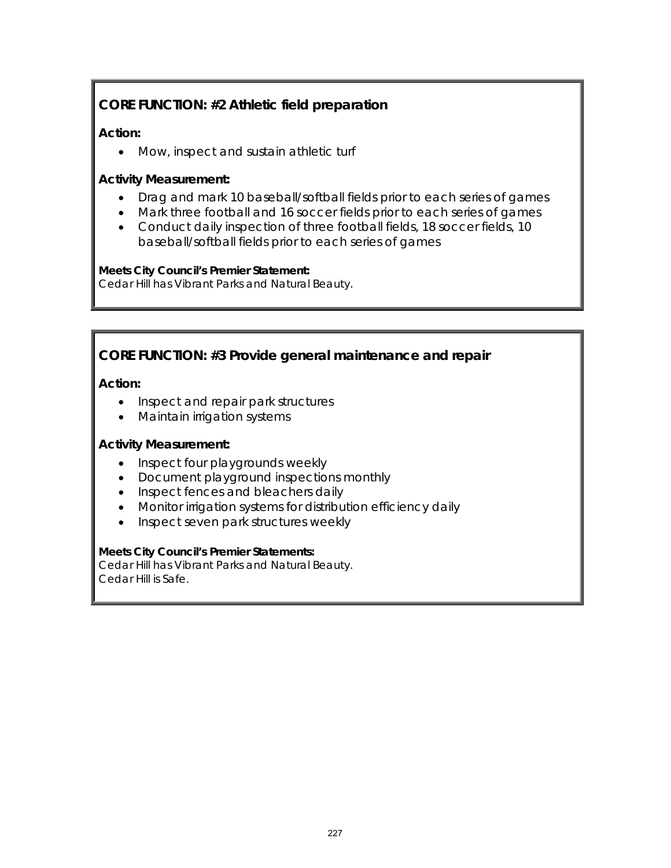# **CORE FUNCTION: #2 Athletic field preparation**

#### **Action:**

• Mow, inspect and sustain athletic turf

#### **Activity Measurement:**

- Drag and mark 10 baseball/softball fields prior to each series of games
- Mark three football and 16 soccer fields prior to each series of games
- Conduct daily inspection of three football fields, 18 soccer fields, 10 baseball/softball fields prior to each series of games

## **Meets City Council's Premier Statement:**

Cedar Hill has Vibrant Parks and Natural Beauty.

# **CORE FUNCTION: #3 Provide general maintenance and repair**

## **Action:**

- Inspect and repair park structures
- Maintain irrigation systems

#### **Activity Measurement:**

- Inspect four playgrounds weekly
- Document playground inspections monthly
- Inspect fences and bleachers daily
- Monitor irrigation systems for distribution efficiency daily
- Inspect seven park structures weekly

#### **Meets City Council's Premier Statements:**

Cedar Hill has Vibrant Parks and Natural Beauty. Cedar Hill is Safe.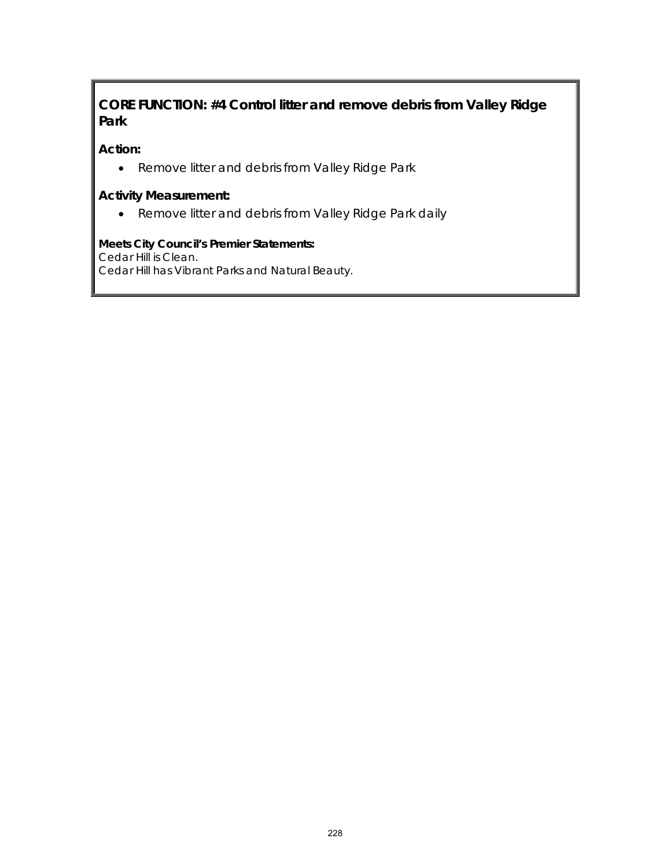# **CORE FUNCTION: #4 Control litter and remove debris from Valley Ridge Park**

#### **Action:**

• Remove litter and debris from Valley Ridge Park

#### **Activity Measurement:**

• Remove litter and debris from Valley Ridge Park daily

# **Meets City Council's Premier Statements:**

Cedar Hill is Clean.

Cedar Hill has Vibrant Parks and Natural Beauty.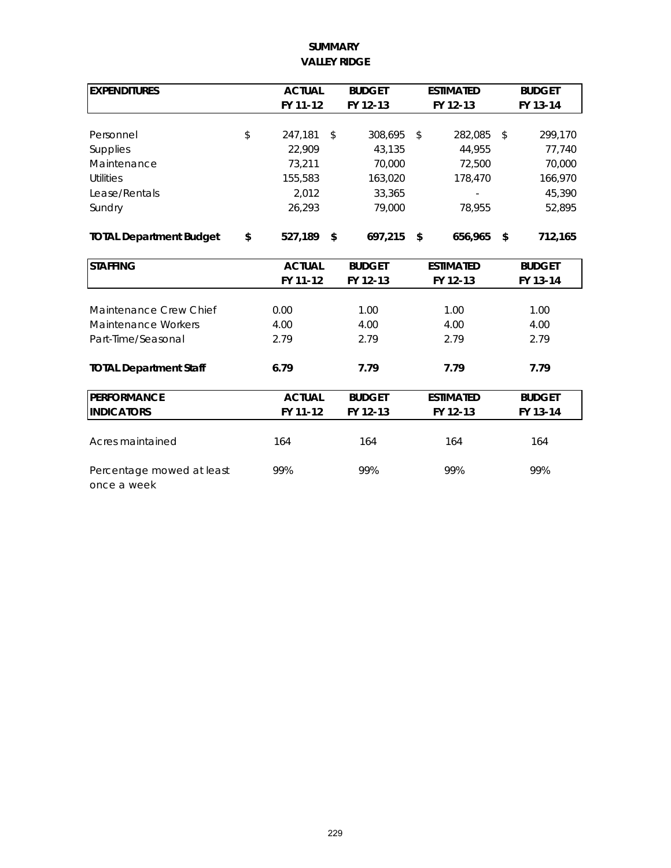#### **VALLEY RIDGE SUMMARY**

| <b>EXPENDITURES</b>                      | <b>ACTUAL</b> | <b>BUDGET</b><br><b>ESTIMATED</b> |               |    |                  | <b>BUDGET</b> |
|------------------------------------------|---------------|-----------------------------------|---------------|----|------------------|---------------|
|                                          | FY 11-12      |                                   | FY 12-13      |    | FY 12-13         | FY 13-14      |
|                                          |               |                                   |               |    |                  |               |
| Personnel                                | \$<br>247,181 | \$                                | 308,695       | \$ | 282,085          | \$<br>299,170 |
| Supplies                                 | 22,909        |                                   | 43,135        |    | 44,955           | 77,740        |
| Maintenance                              | 73,211        |                                   | 70,000        |    | 72,500           | 70,000        |
| <b>Utilities</b>                         | 155,583       |                                   | 163,020       |    | 178,470          | 166,970       |
| Lease/Rentals                            | 2,012         |                                   | 33,365        |    |                  | 45,390        |
| Sundry                                   | 26,293        |                                   | 79,000        |    | 78,955           | 52,895        |
| <b>TOTAL Department Budget</b>           | \$<br>527,189 | \$                                | 697,215       | \$ | 656,965          | \$<br>712,165 |
| <b>STAFFING</b>                          | <b>ACTUAL</b> |                                   | <b>BUDGET</b> |    | <b>ESTIMATED</b> | <b>BUDGET</b> |
|                                          | FY 11-12      |                                   | FY 12-13      |    | FY 12-13         | FY 13-14      |
|                                          |               |                                   |               |    |                  |               |
| Maintenance Crew Chief                   | 0.00          |                                   | 1.00          |    | 1.00             | 1.00          |
| Maintenance Workers                      | 4.00          |                                   | 4.00          |    | 4.00             | 4.00          |
| Part-Time/Seasonal                       | 2.79          |                                   | 2.79          |    | 2.79             | 2.79          |
| <b>TOTAL Department Staff</b>            | 6.79          |                                   | 7.79          |    | 7.79             | 7.79          |
| <b>PERFORMANCE</b>                       | <b>ACTUAL</b> |                                   | <b>BUDGET</b> |    | <b>ESTIMATED</b> | <b>BUDGET</b> |
| <b>INDICATORS</b>                        | FY 11-12      |                                   | FY 12-13      |    | FY 12-13         | FY 13-14      |
| Acres maintained                         | 164           |                                   | 164           |    | 164              | 164           |
| Percentage mowed at least<br>once a week | 99%           |                                   | 99%           |    | 99%              | 99%           |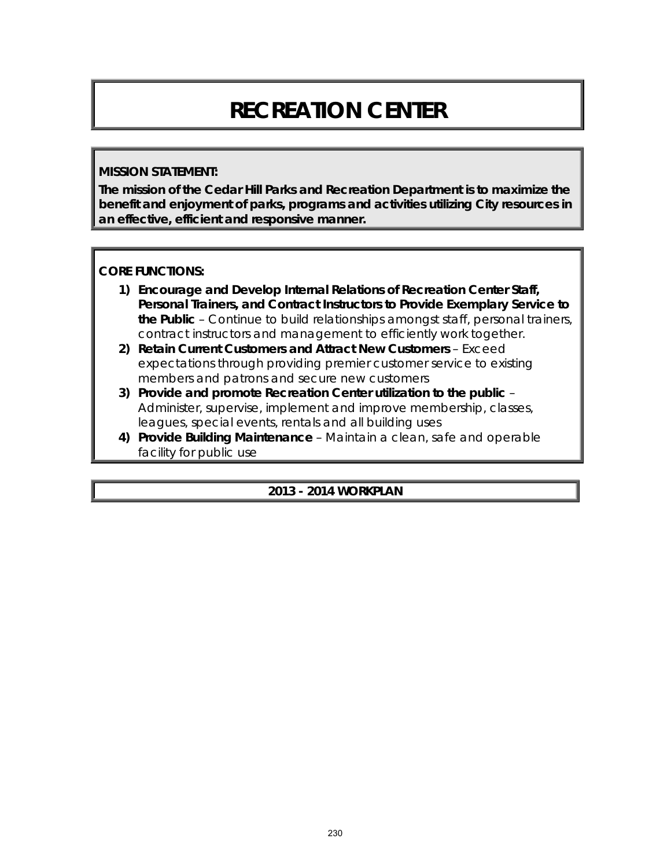# **RECREATION CENTER**

#### **MISSION STATEMENT:**

**The mission of the Cedar Hill Parks and Recreation Department is to maximize the benefit and enjoyment of parks, programs and activities utilizing City resources in an effective, efficient and responsive manner.**

## **CORE FUNCTIONS:**

- **1) Encourage and Develop Internal Relations of Recreation Center Staff, Personal Trainers, and Contract Instructors to Provide Exemplary Service to the Public** – Continue to build relationships amongst staff, personal trainers, contract instructors and management to efficiently work together.
- **2) Retain Current Customers and Attract New Customers** Exceed expectations through providing premier customer service to existing members and patrons and secure new customers
- **3) Provide and promote Recreation Center utilization to the public** Administer, supervise, implement and improve membership, classes, leagues, special events, rentals and all building uses
- **4) Provide Building Maintenance**  Maintain a clean, safe and operable facility for public use

## **2013 - 2014 WORKPLAN**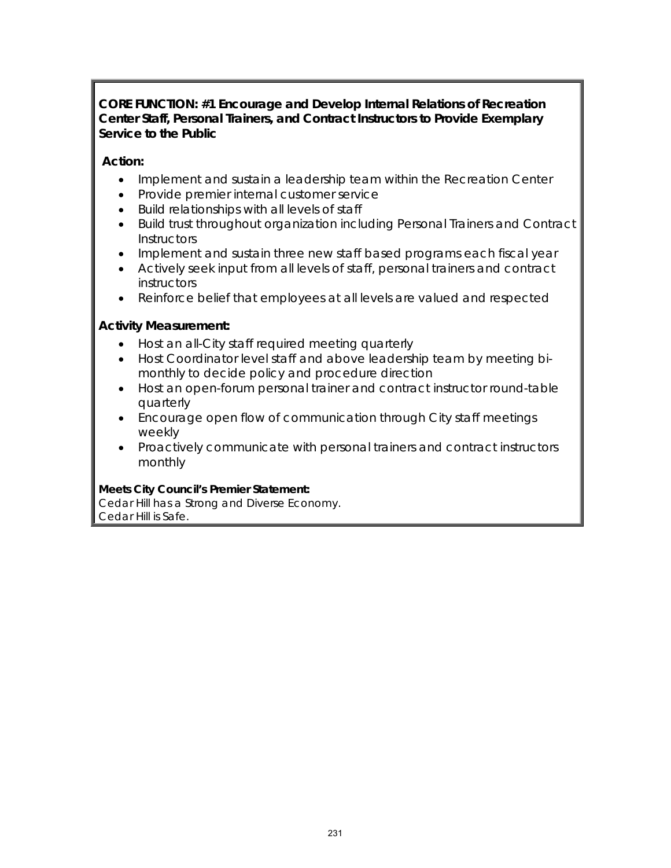#### **CORE FUNCTION: #1 Encourage and Develop Internal Relations of Recreation Center Staff, Personal Trainers, and Contract Instructors to Provide Exemplary Service to the Public**

## **Action:**

- Implement and sustain a leadership team within the Recreation Center
- Provide premier internal customer service
- Build relationships with all levels of staff
- Build trust throughout organization including Personal Trainers and Contract **Instructors**
- Implement and sustain three new staff based programs each fiscal year
- Actively seek input from all levels of staff, personal trainers and contract instructors
- Reinforce belief that employees at all levels are valued and respected

## **Activity Measurement:**

- Host an all-City staff required meeting quarterly
- Host Coordinator level staff and above leadership team by meeting bimonthly to decide policy and procedure direction
- Host an open-forum personal trainer and contract instructor round-table quarterly
- Encourage open flow of communication through City staff meetings weekly
- Proactively communicate with personal trainers and contract instructors monthly

#### **Meets City Council's Premier Statement:**

Cedar Hill has a Strong and Diverse Economy. Cedar Hill is Safe.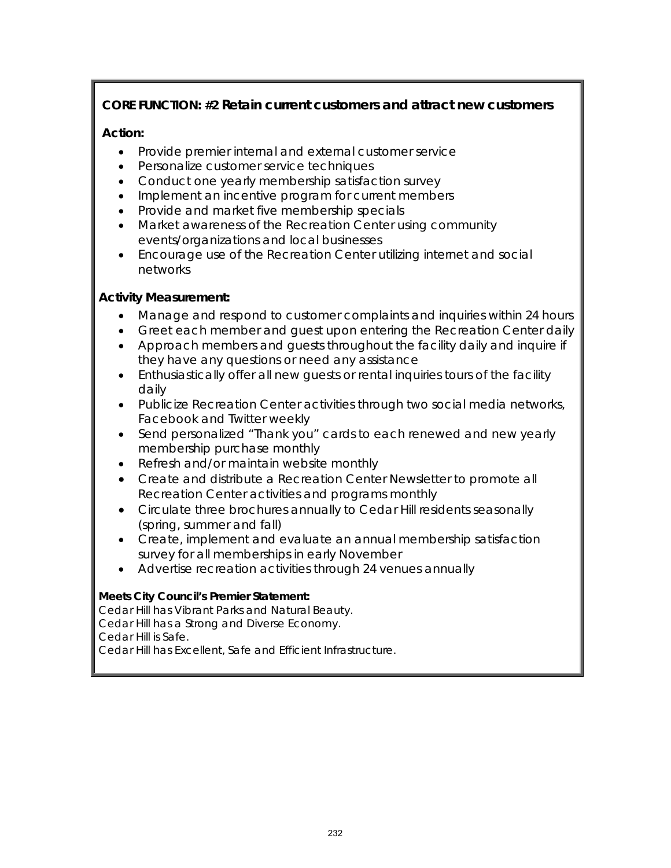# **CORE FUNCTION: #2 Retain current customers and attract new customers**

## **Action:**

- Provide premier internal and external customer service
- Personalize customer service techniques
- Conduct one yearly membership satisfaction survey
- Implement an incentive program for current members
- Provide and market five membership specials
- Market awareness of the Recreation Center using community events/organizations and local businesses
- Encourage use of the Recreation Center utilizing internet and social networks

## **Activity Measurement:**

- Manage and respond to customer complaints and inquiries within 24 hours
- Greet each member and guest upon entering the Recreation Center daily
- Approach members and guests throughout the facility daily and inquire if they have any questions or need any assistance
- Enthusiastically offer all new quests or rental inquiries tours of the facility daily
- Publicize Recreation Center activities through two social media networks, *Facebook* and *Twitter* weekly
- Send personalized "Thank you" cards to each renewed and new yearly membership purchase monthly
- Refresh and/or maintain website monthly
- Create and distribute a Recreation Center Newsletter to promote all Recreation Center activities and programs monthly
- Circulate three brochures annually to Cedar Hill residents seasonally (spring, summer and fall)
- Create, implement and evaluate an annual membership satisfaction survey for all memberships in early November
- Advertise recreation activities through 24 venues annually

#### **Meets City Council's Premier Statement:**

Cedar Hill has Vibrant Parks and Natural Beauty. Cedar Hill has a Strong and Diverse Economy. Cedar Hill is Safe. Cedar Hill has Excellent, Safe and Efficient Infrastructure.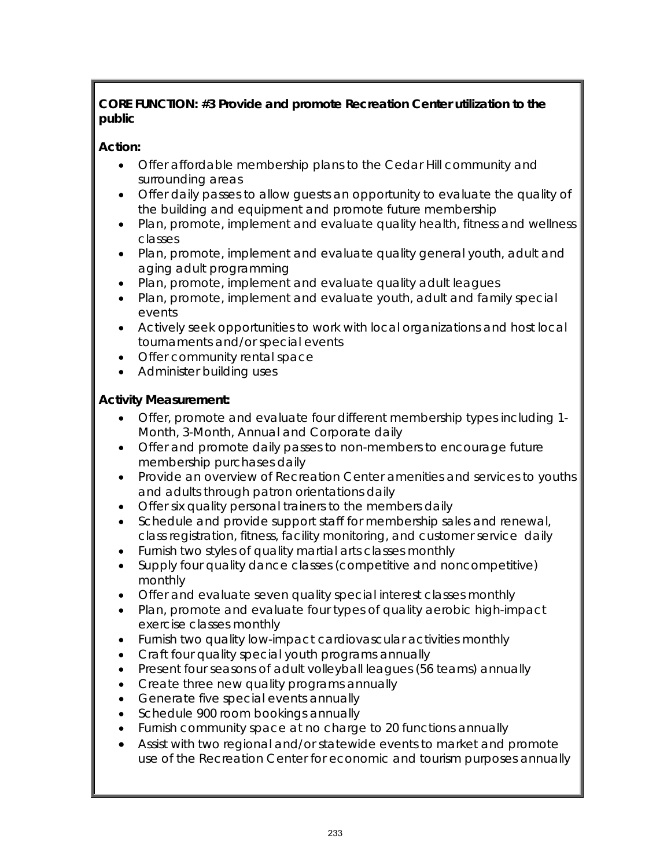## **CORE FUNCTION: #3 Provide and promote Recreation Center utilization to the public**

# **Action:**

- Offer affordable membership plans to the Cedar Hill community and surrounding areas
- Offer daily passes to allow guests an opportunity to evaluate the quality of the building and equipment and promote future membership
- Plan, promote, implement and evaluate quality health, fitness and wellness classes
- Plan, promote, implement and evaluate quality general youth, adult and aging adult programming
- Plan, promote, implement and evaluate quality adult leagues
- Plan, promote, implement and evaluate youth, adult and family special events
- Actively seek opportunities to work with local organizations and host local tournaments and/or special events
- Offer community rental space
- Administer building uses

# **Activity Measurement:**

- Offer, promote and evaluate four different membership types including 1- Month, 3-Month, Annual and Corporate daily
- Offer and promote daily passes to non-members to encourage future membership purchases daily
- Provide an overview of Recreation Center amenities and services to youths and adults through patron orientations daily
- Offer six quality personal trainers to the members daily
- Schedule and provide support staff for membership sales and renewal, class registration, fitness, facility monitoring, and customer service daily
- Furnish two styles of quality martial arts classes monthly
- Supply four quality dance classes (competitive and noncompetitive) monthly
- Offer and evaluate seven quality special interest classes monthly
- Plan, promote and evaluate four types of quality aerobic high-impact exercise classes monthly
- Furnish two quality low-impact cardiovascular activities monthly
- Craft four quality special youth programs annually
- Present four seasons of adult volleyball leagues (56 teams) annually
- Create three new quality programs annually
- Generate five special events annually
- Schedule 900 room bookings annually
- Furnish community space at no charge to 20 functions annually
- Assist with two regional and/or statewide events to market and promote use of the Recreation Center for economic and tourism purposes annually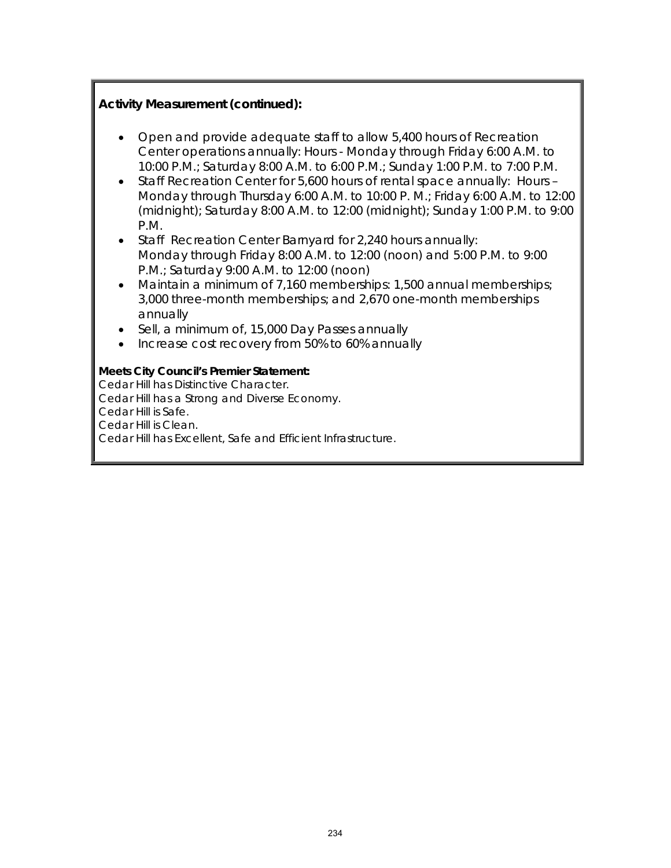#### **Activity Measurement (continued):**

- Open and provide adequate staff to allow 5,400 hours of Recreation Center operations annually: Hours - Monday through Friday 6:00 A.M. to 10:00 P.M.; Saturday 8:00 A.M. to 6:00 P.M.; Sunday 1:00 P.M. to 7:00 P.M.
- Staff Recreation Center for 5,600 hours of rental space annually: Hours Monday through Thursday 6:00 A.M. to 10:00 P. M.; Friday 6:00 A.M. to 12:00 (midnight); Saturday 8:00 A.M. to 12:00 (midnight); Sunday 1:00 P.M. to 9:00 P.M.
- Staff Recreation Center Barnyard for 2,240 hours annually: Monday through Friday 8:00 A.M. to 12:00 (noon) and 5:00 P.M. to 9:00 P.M.; Saturday 9:00 A.M. to 12:00 (noon)
- Maintain a minimum of 7,160 memberships: 1,500 annual memberships; 3,000 three-month memberships; and 2,670 one-month memberships annually
- Sell, a minimum of, 15,000 Day Passes annually
- Increase cost recovery from 50% to 60% annually

#### **Meets City Council's Premier Statement:**

Cedar Hill has Distinctive Character. Cedar Hill has a Strong and Diverse Economy. Cedar Hill is Safe. Cedar Hill is Clean. Cedar Hill has Excellent, Safe and Efficient Infrastructure.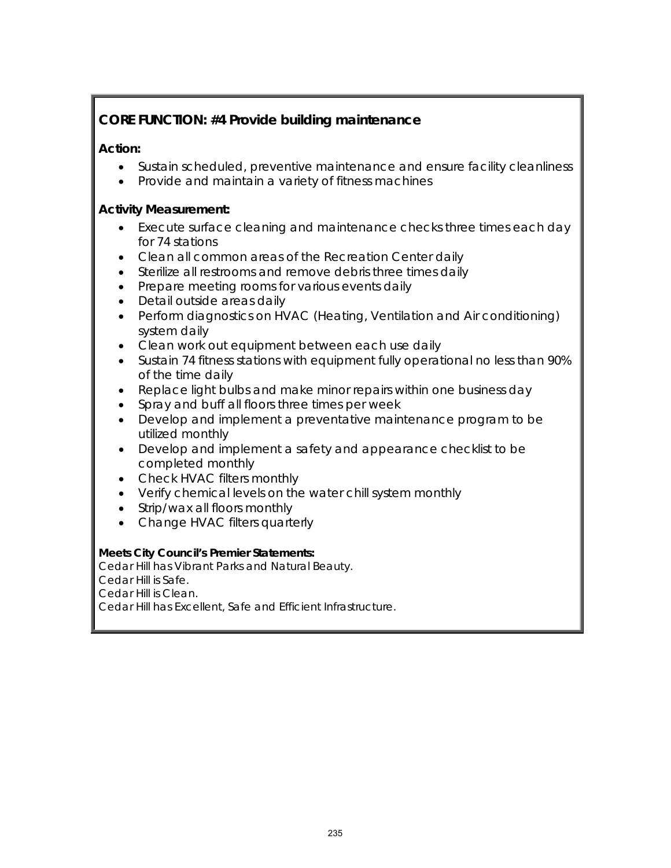# **CORE FUNCTION: #4 Provide building maintenance**

## **Action:**

- Sustain scheduled, preventive maintenance and ensure facility cleanliness
- Provide and maintain a variety of fitness machines

#### **Activity Measurement:**

- Execute surface cleaning and maintenance checks three times each day for 74 stations
- Clean all common areas of the Recreation Center daily
- Sterilize all restrooms and remove debris three times daily
- Prepare meeting rooms for various events daily
- Detail outside areas daily
- Perform diagnostics on HVAC (Heating, Ventilation and Air conditioning) system daily
- Clean work out equipment between each use daily
- Sustain 74 fitness stations with equipment fully operational no less than 90% of the time daily
- Replace light bulbs and make minor repairs within one business day
- Spray and buff all floors three times per week
- Develop and implement a preventative maintenance program to be utilized monthly
- Develop and implement a safety and appearance checklist to be completed monthly
- Check HVAC filters monthly
- Verify chemical levels on the water chill system monthly
- Strip/wax all floors monthly
- Change HVAC filters quarterly

#### **Meets City Council's Premier Statements:**

Cedar Hill has Vibrant Parks and Natural Beauty. Cedar Hill is Safe. Cedar Hill is Clean. Cedar Hill has Excellent, Safe and Efficient Infrastructure.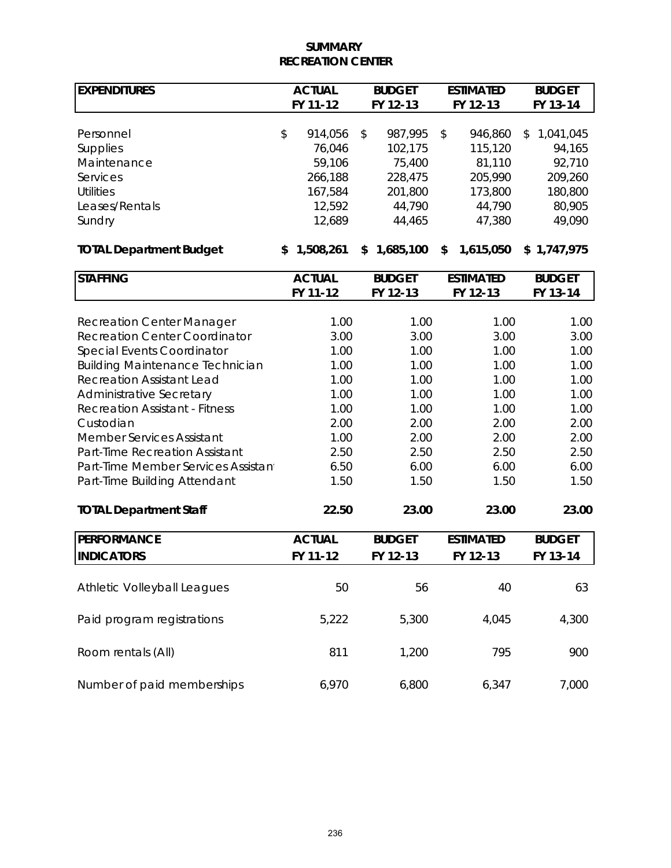#### **SUMMARY RECREATION CENTER**

| <b>EXPENDITURES</b>                    | <b>ACTUAL</b> |                  |    | <b>BUDGET</b>    | <b>ESTIMATED</b> |                  |    | <b>BUDGET</b>     |
|----------------------------------------|---------------|------------------|----|------------------|------------------|------------------|----|-------------------|
|                                        |               | FY 11-12         |    | FY 12-13         |                  | FY 12-13         |    | FY 13-14          |
|                                        |               |                  |    |                  |                  |                  |    |                   |
| Personnel                              | \$            | 914,056          | \$ | 987,995          | \$               | 946,860          | \$ | 1,041,045         |
| Supplies                               |               | 76,046           |    | 102,175          |                  | 115,120          |    | 94,165<br>92,710  |
| Maintenance                            |               | 59,106           |    | 75,400           |                  | 81,110           |    |                   |
| Services<br><b>Utilities</b>           |               | 266,188          |    | 228,475          |                  | 205,990          |    | 209,260           |
| Leases/Rentals                         |               | 167,584          |    | 201,800          |                  | 173,800          |    | 180,800<br>80,905 |
| Sundry                                 |               | 12,592<br>12,689 |    | 44,790<br>44,465 |                  | 44,790<br>47,380 |    | 49,090            |
|                                        |               |                  |    |                  |                  |                  |    |                   |
| <b>TOTAL Department Budget</b>         | \$            | 1,508,261        | \$ | 1,685,100        | \$               | 1,615,050        |    | \$1,747,975       |
| <b>STAFFING</b>                        |               | <b>ACTUAL</b>    |    | <b>BUDGET</b>    |                  | <b>ESTIMATED</b> |    | <b>BUDGET</b>     |
|                                        |               | FY 11-12         |    | FY 12-13         |                  | FY 12-13         |    | FY 13-14          |
| <b>Recreation Center Manager</b>       |               | 1.00             |    | 1.00             |                  | 1.00             |    | 1.00              |
| <b>Recreation Center Coordinator</b>   |               | 3.00             |    | 3.00             |                  | 3.00             |    | 3.00              |
| Special Events Coordinator             |               | 1.00             |    | 1.00             |                  | 1.00             |    | 1.00              |
| <b>Building Maintenance Technician</b> |               | 1.00             |    | 1.00             |                  | 1.00             |    | 1.00              |
| <b>Recreation Assistant Lead</b>       |               | 1.00             |    | 1.00             |                  | 1.00             |    | 1.00              |
| Administrative Secretary               |               | 1.00             |    | 1.00             |                  | 1.00             |    | 1.00              |
| <b>Recreation Assistant - Fitness</b>  |               | 1.00             |    | 1.00             |                  | 1.00             |    | 1.00              |
| Custodian                              |               | 2.00             |    | 2.00             |                  | 2.00             |    | 2.00              |
| <b>Member Services Assistant</b>       |               | 1.00             |    | 2.00             |                  | 2.00             |    | 2.00              |
| Part-Time Recreation Assistant         |               | 2.50             |    | 2.50             |                  | 2.50             |    | 2.50              |
| Part-Time Member Services Assistan     |               | 6.50             |    | 6.00             |                  | 6.00             |    | 6.00              |
| Part-Time Building Attendant           |               | 1.50             |    | 1.50             |                  | 1.50             |    | 1.50              |
|                                        |               |                  |    |                  |                  |                  |    |                   |
| <b>TOTAL Department Staff</b>          |               | 22.50            |    | 23.00            |                  | 23.00            |    | 23.00             |
| <b>PERFORMANCE</b>                     |               | <b>ACTUAL</b>    |    | <b>BUDGET</b>    |                  | <b>ESTIMATED</b> |    | <b>BUDGET</b>     |
| <b>INDICATORS</b>                      |               | FY 11-12         |    | FY 12-13         |                  | FY 12-13         |    | FY 13-14          |
|                                        |               |                  |    |                  |                  |                  |    |                   |
| <b>Athletic Volleyball Leagues</b>     |               | 50               |    | 56               |                  | 40               |    | 63                |
| Paid program registrations             |               | 5,222            |    | 5,300            |                  | 4,045            |    | 4,300             |
| Room rentals (All)                     |               | 811              |    | 1,200            |                  | 795              |    | 900               |
| Number of paid memberships             |               | 6,970            |    | 6,800            |                  | 6,347            |    | 7,000             |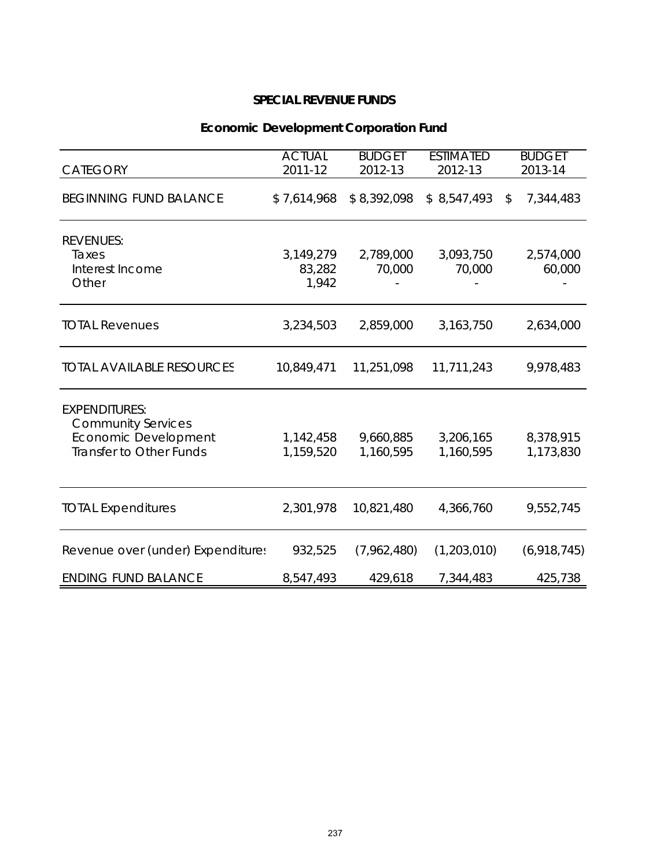# **Economic Development Corporation Fund**

| <b>CATEGORY</b>                                                                                      | <b>ACTUAL</b><br>2011-12     | <b>BUDGET</b><br>2012-13 | <b>ESTIMATED</b><br>2012-13 | <b>BUDGET</b><br>2013-14 |
|------------------------------------------------------------------------------------------------------|------------------------------|--------------------------|-----------------------------|--------------------------|
| <b>BEGINNING FUND BALANCE</b>                                                                        | \$7,614,968                  | \$8,392,098              | \$8,547,493                 | 7,344,483<br>\$          |
| <b>REVENUES:</b><br>Taxes<br>Interest Income<br>Other                                                | 3,149,279<br>83,282<br>1,942 | 2,789,000<br>70,000      | 3,093,750<br>70,000         | 2,574,000<br>60,000      |
| <b>TOTAL Revenues</b>                                                                                | 3,234,503                    | 2,859,000                | 3,163,750                   | 2,634,000                |
| <b>TOTAL AVAILABLE RESOURCES</b>                                                                     | 10,849,471                   | 11,251,098               | 11,711,243                  | 9,978,483                |
| <b>EXPENDITURES:</b><br><b>Community Services</b><br>Economic Development<br>Transfer to Other Funds | 1,142,458<br>1,159,520       | 9,660,885<br>1,160,595   | 3,206,165<br>1,160,595      | 8,378,915<br>1,173,830   |
| <b>TOTAL Expenditures</b>                                                                            | 2,301,978                    | 10,821,480               | 4,366,760                   | 9,552,745                |
| Revenue over (under) Expenditures                                                                    | 932,525                      | (7,962,480)              | (1,203,010)                 | (6,918,745)              |
| <b>ENDING FUND BALANCE</b>                                                                           | 8,547,493                    | 429,618                  | 7,344,483                   | 425,738                  |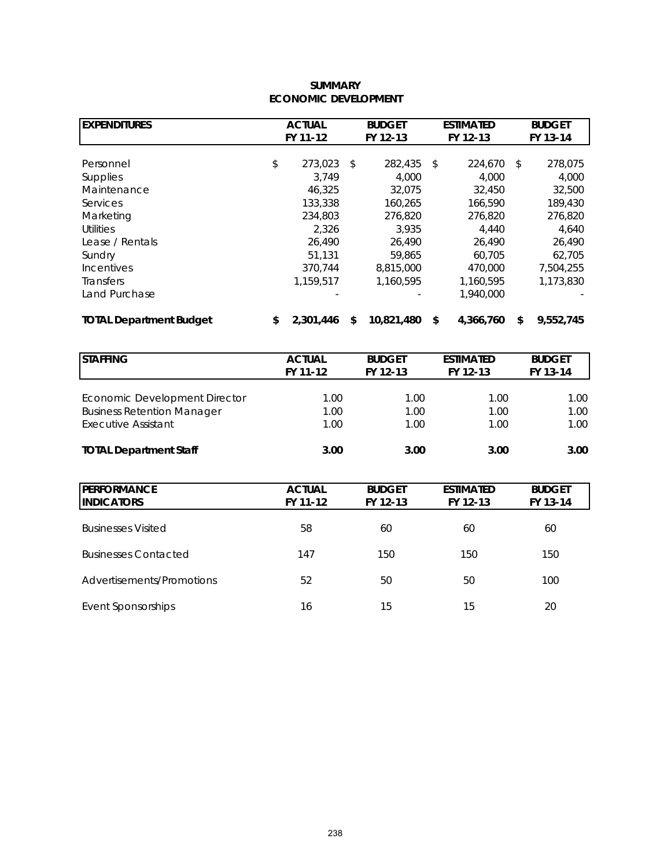#### **ECONOMIC DEVELOPMENT SUMMARY**

| <b>EXPENDITURES</b>            | <b>ACTUAL</b> |           |          | <b>BUDGET</b> | <b>ESTIMATED</b> |           |          | <b>BUDGET</b> |  |  |
|--------------------------------|---------------|-----------|----------|---------------|------------------|-----------|----------|---------------|--|--|
|                                |               | FY 11-12  | FY 12-13 |               |                  | FY 12-13  | FY 13-14 |               |  |  |
|                                |               |           |          |               |                  |           |          |               |  |  |
| Personnel                      | \$            | 273.023   | - \$     | 282,435       | \$               | 224,670   | \$       | 278,075       |  |  |
| <b>Supplies</b>                |               | 3.749     |          | 4,000         |                  | 4,000     |          | 4,000         |  |  |
| Maintenance                    |               | 46,325    |          | 32,075        |                  | 32,450    |          | 32,500        |  |  |
| Services                       |               | 133,338   |          | 160.265       |                  | 166,590   |          | 189,430       |  |  |
| Marketing                      |               | 234,803   |          | 276,820       |                  | 276,820   |          | 276,820       |  |  |
| <b>Utilities</b>               |               | 2,326     |          | 3.935         |                  | 4,440     |          | 4.640         |  |  |
| Lease / Rentals                |               | 26,490    |          | 26,490        |                  | 26,490    |          | 26,490        |  |  |
| Sundry                         |               | 51.131    |          | 59,865        |                  | 60.705    |          | 62.705        |  |  |
| <b>Incentives</b>              |               | 370.744   |          | 8,815,000     |                  | 470,000   |          | 7,504,255     |  |  |
| <b>Transfers</b>               |               | 1,159,517 |          | 1,160,595     |                  | 1,160,595 |          | 1,173,830     |  |  |
| Land Purchase                  |               |           |          |               |                  | 1,940,000 |          |               |  |  |
| <b>TOTAL Department Budget</b> | \$            | 2.301.446 | \$       | 10,821,480    | \$               | 4,366,760 | \$       | 9,552,745     |  |  |

| <b>STAFFING</b>                   | <b>ACTUAL</b><br>FY 11-12 | <b>BUDGET</b><br>FY 12-13 | <b>ESTIMATED</b><br><b>BUDGET</b><br>FY 13-14<br>FY 12-13 |                   |
|-----------------------------------|---------------------------|---------------------------|-----------------------------------------------------------|-------------------|
| Economic Development Director     | 1.00                      | 1.00                      | 1.00                                                      | 1.00 <sub>1</sub> |
| <b>Business Retention Manager</b> | 1.00                      | 1.00                      | 1.00                                                      | 1.00              |
| <b>Executive Assistant</b>        | 1.00                      | 1.00                      | 1.00                                                      | 1.00              |
| <b>TOTAL Department Staff</b>     | 3.00                      | 3.00                      | 3.00                                                      | 3.00              |

| <b>PERFORMANCE</b><br><b>INDICATORS</b> | <b>ACTUAL</b><br>FY 11-12 | <b>BUDGET</b><br>FY 12-13 | <b>ESTIMATED</b><br>FY 12-13 | <b>BUDGET</b><br>FY 13-14 |
|-----------------------------------------|---------------------------|---------------------------|------------------------------|---------------------------|
| <b>Businesses Visited</b>               | 58                        | 60                        | 60                           | 60                        |
| <b>Businesses Contacted</b>             | 147                       | 150                       | 150                          | 150                       |
| Advertisements/Promotions               | 52                        | 50                        | 50                           | 100                       |
| Event Sponsorships                      | 16                        | 15                        | 15                           | 20                        |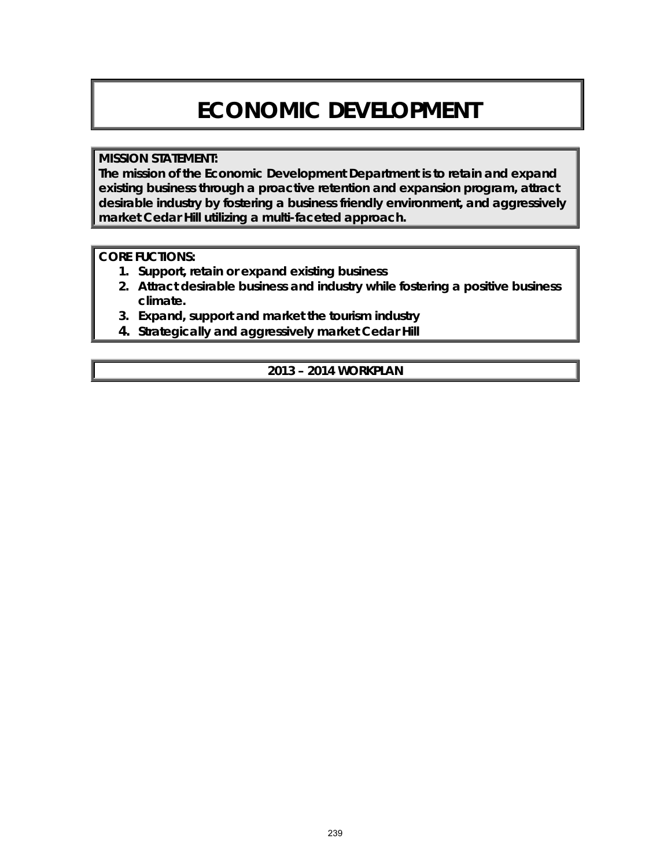# **ECONOMIC DEVELOPMENT**

#### **MISSION STATEMENT:**

**The mission of the Economic Development Department is to retain and expand existing business through a proactive retention and expansion program, attract desirable industry by fostering a business friendly environment, and aggressively market Cedar Hill utilizing a multi-faceted approach.**

#### **CORE FUCTIONS:**

- **1. Support, retain or expand existing business**
- **2. Attract desirable business and industry while fostering a positive business climate.**
- **3. Expand, support and market the tourism industry**
- **4. Strategically and aggressively market Cedar Hill**

**2013 – 2014 WORKPLAN**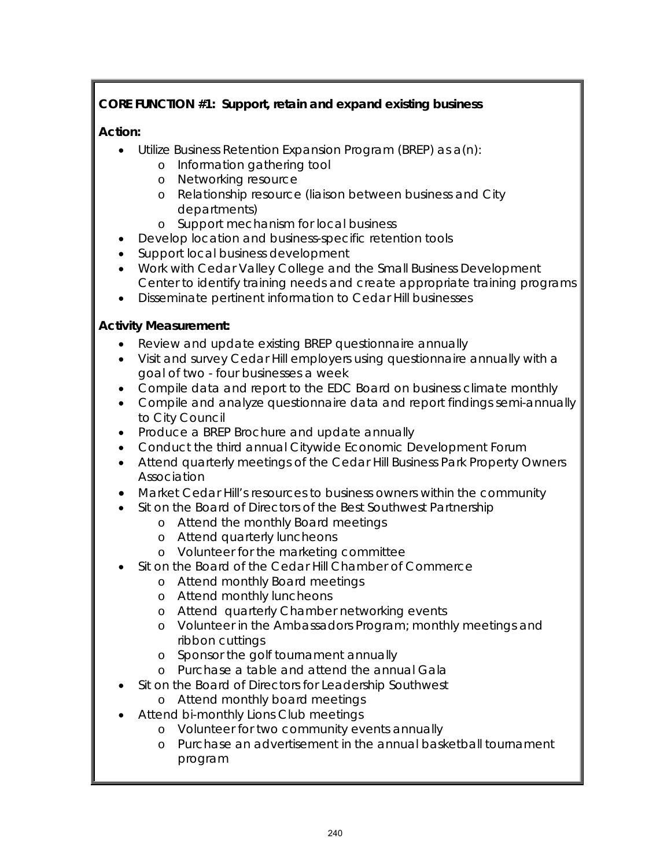# **CORE FUNCTION #1: Support, retain and expand existing business**

## **Action:**

- Utilize Business Retention Expansion Program (BREP) as a(n):
	- o Information gathering tool
	- o Networking resource
	- o Relationship resource (liaison between business and City departments)
	- o Support mechanism for local business
- Develop location and business-specific retention tools
- Support local business development
- Work with Cedar Valley College and the Small Business Development Center to identify training needs and create appropriate training programs
- Disseminate pertinent information to Cedar Hill businesses

## **Activity Measurement:**

- Review and update existing BREP questionnaire annually
- Visit and survey Cedar Hill employers using questionnaire annually with a goal of two - four businesses a week
- Compile data and report to the EDC Board on business climate monthly
- Compile and analyze questionnaire data and report findings semi-annually to City Council
- Produce a BREP Brochure and update annually
- Conduct the third annual Citywide Economic Development Forum
- Attend quarterly meetings of the Cedar Hill Business Park Property Owners Association
- Market Cedar Hill's resources to business owners within the community
- Sit on the Board of Directors of the Best Southwest Partnership
	- o Attend the monthly Board meetings
	- o Attend quarterly luncheons
	- o Volunteer for the marketing committee
- Sit on the Board of the Cedar Hill Chamber of Commerce
	- o Attend monthly Board meetings
	- o Attend monthly luncheons
	- o Attend quarterly Chamber networking events
	- o Volunteer in the Ambassadors Program; monthly meetings and ribbon cuttings
	- o Sponsor the golf tournament annually
	- o Purchase a table and attend the annual Gala
- Sit on the Board of Directors for Leadership Southwest
- o Attend monthly board meetings • Attend bi-monthly Lions Club meetings
	- o Volunteer for two community events annually
		- o Purchase an advertisement in the annual basketball tournament program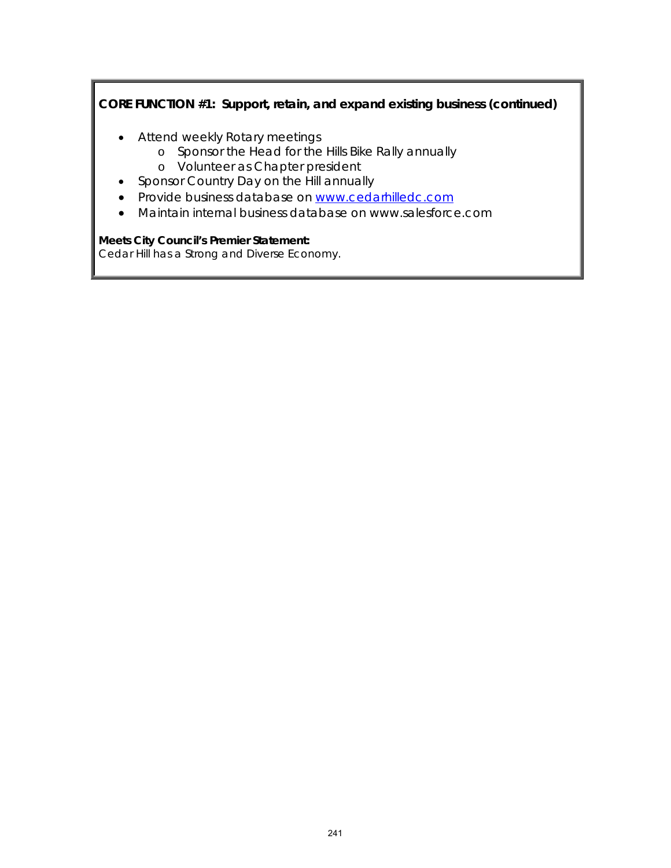# **CORE FUNCTION #1: Support, retain, and expand existing business (continued)**

- Attend weekly Rotary meetings
	- o Sponsor the Head for the Hills Bike Rally annually
	- o Volunteer as Chapter president
- Sponsor Country Day on the Hill annually
- Provide business database on [www.cedarhilledc.com](http://www.cedarhilledc.com/)
- Maintain internal business database on www.salesforce.com

#### **Meets City Council's Premier Statement:**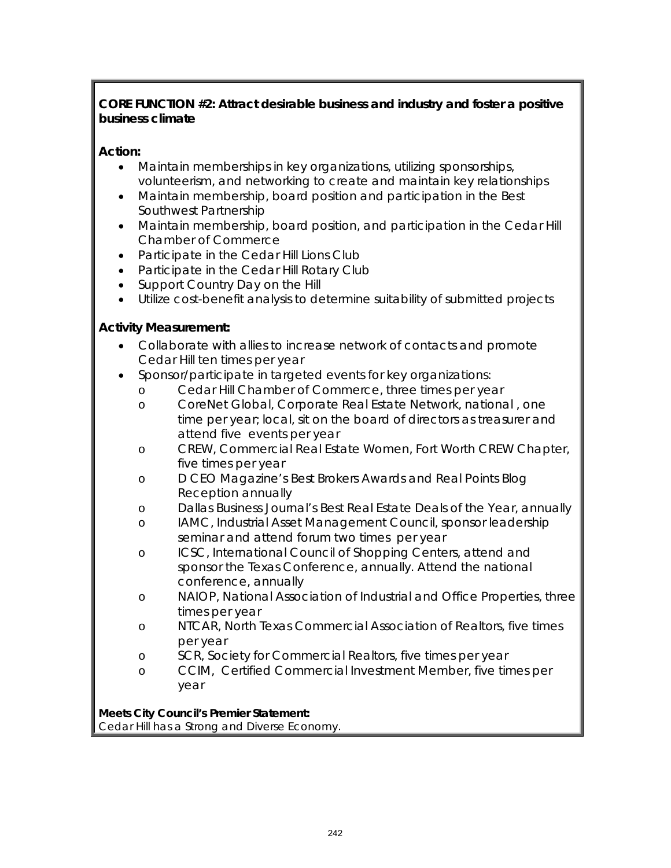## **CORE FUNCTION #2: Attract desirable business and industry and foster a positive business climate**

## **Action:**

- Maintain memberships in key organizations, utilizing sponsorships, volunteerism, and networking to create and maintain key relationships
- Maintain membership, board position and participation in the Best Southwest Partnership
- Maintain membership, board position, and participation in the Cedar Hill Chamber of Commerce
- Participate in the Cedar Hill Lions Club
- Participate in the Cedar Hill Rotary Club
- Support Country Day on the Hill
- Utilize cost-benefit analysis to determine suitability of submitted projects

## **Activity Measurement:**

- Collaborate with allies to increase network of contacts and promote Cedar Hill ten times per year
- Sponsor/participate in targeted events for key organizations:
	- o Cedar Hill Chamber of Commerce, three times per year
		- o CoreNet Global, Corporate Real Estate Network, national , one time per year; local, sit on the board of directors as treasurer and attend five events per year
		- o CREW, Commercial Real Estate Women, Fort Worth CREW Chapter, five times per year
		- o *D CEO* Magazine's Best Brokers Awards and Real Points Blog Reception annually
		- o *Dallas Business Journal's* Best Real Estate Deals of the Year, annually
		- o IAMC, Industrial Asset Management Council, sponsor leadership seminar and attend forum two times per year
		- o ICSC, International Council of Shopping Centers, attend and sponsor the Texas Conference, annually. Attend the national conference, annually
		- o NAIOP, National Association of Industrial and Office Properties, three times per year
		- o NTCAR, North Texas Commercial Association of Realtors, five times per year
		- o SCR, Society for Commercial Realtors, five times per year
		- o CCIM, Certified Commercial Investment Member, five times per year

## **Meets City Council's Premier Statement:**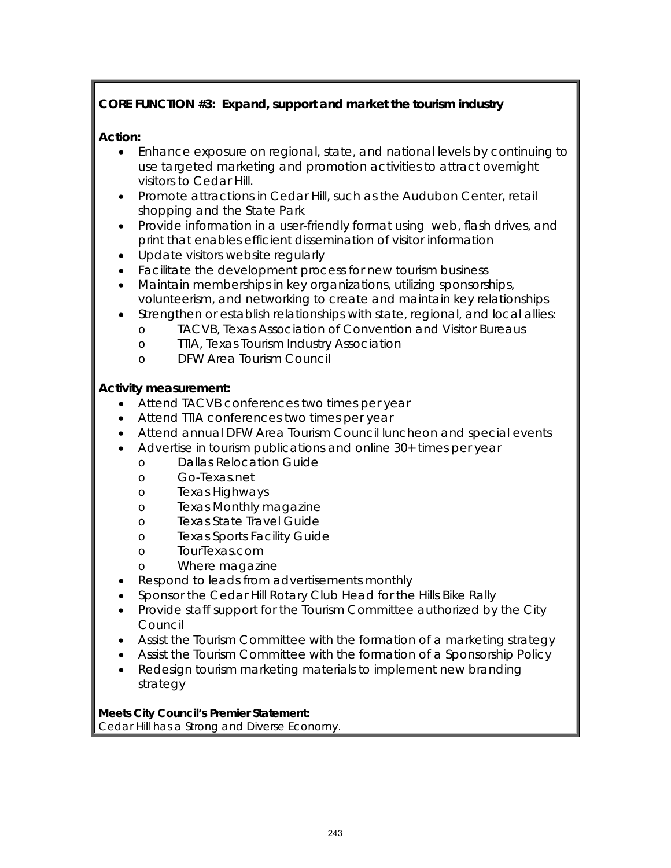# **CORE FUNCTION #3: Expand, support and market the tourism industry**

## **Action:**

- Enhance exposure on regional, state, and national levels by continuing to use targeted marketing and promotion activities to attract overnight visitors to Cedar Hill.
- Promote attractions in Cedar Hill, such as the Audubon Center, retail shopping and the State Park
- Provide information in a user-friendly format using web, flash drives, and print that enables efficient dissemination of visitor information
- Update visitors website regularly
- Facilitate the development process for new tourism business
- Maintain memberships in key organizations, utilizing sponsorships, volunteerism, and networking to create and maintain key relationships
- Strengthen or establish relationships with state, regional, and local allies:
	- o TACVB, Texas Association of Convention and Visitor Bureaus
	- o TTIA, Texas Tourism Industry Association
	- o DFW Area Tourism Council

#### **Activity measurement:**

- Attend TACVB conferences two times per year
- Attend TTIA conferences two times per year
- Attend annual DFW Area Tourism Council luncheon and special events
- Advertise in tourism publications and online 30+ times per year
	- o Dallas Relocation Guide
	- o Go-Texas.net
	- o Texas Highways
	- o *Texas Monthly* magazine
	- o Texas State Travel Guide
	- o Texas Sports Facility Guide
	- o TourTexas.com
	- o *Where* magazine
- Respond to leads from advertisements monthly
- Sponsor the Cedar Hill Rotary Club Head for the Hills Bike Rally
- Provide staff support for the Tourism Committee authorized by the City Council
- Assist the Tourism Committee with the formation of a marketing strategy
- Assist the Tourism Committee with the formation of a Sponsorship Policy
- Redesign tourism marketing materials to implement new branding strategy

**Meets City Council's Premier Statement:**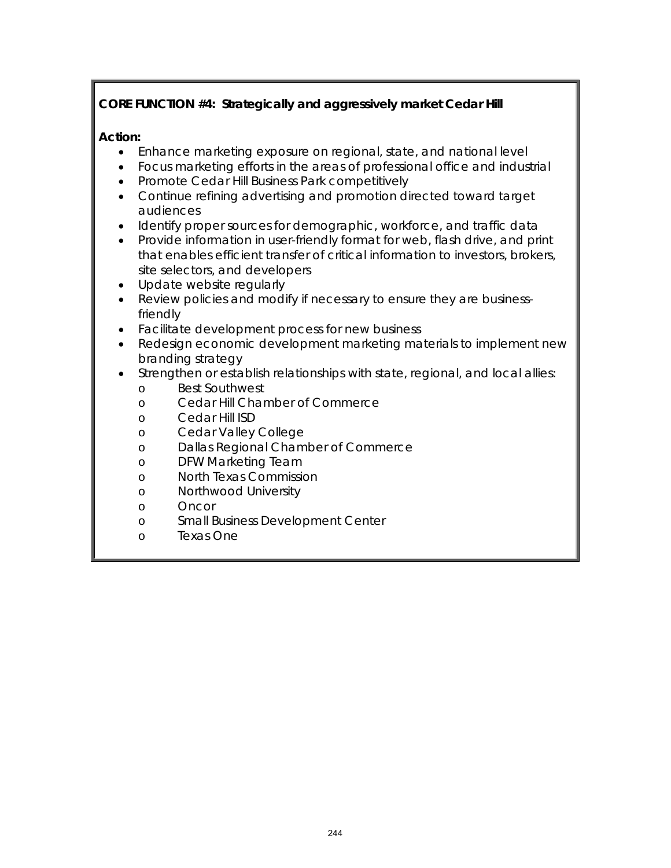# **CORE FUNCTION #4: Strategically and aggressively market Cedar Hill**

#### **Action:**

- Enhance marketing exposure on regional, state, and national level
- Focus marketing efforts in the areas of professional office and industrial
- Promote Cedar Hill Business Park competitively
- Continue refining advertising and promotion directed toward target audiences
- Identify proper sources for demographic, workforce, and traffic data
- Provide information in user-friendly format for web, flash drive, and print that enables efficient transfer of critical information to investors, brokers, site selectors, and developers
- Update website regularly
- Review policies and modify if necessary to ensure they are businessfriendly
- Facilitate development process for new business
- Redesign economic development marketing materials to implement new branding strategy
- Strengthen or establish relationships with state, regional, and local allies:
	- o Best Southwest<br>o Cedar Hill Char
	- Cedar Hill Chamber of Commerce
	- o Cedar Hill ISD
	- o Cedar Valley College
	- o Dallas Regional Chamber of Commerce
	- o DFW Marketing Team
	- o North Texas Commission
	- o Northwood University
	- o Oncor
	- o Small Business Development Center
	- o Texas One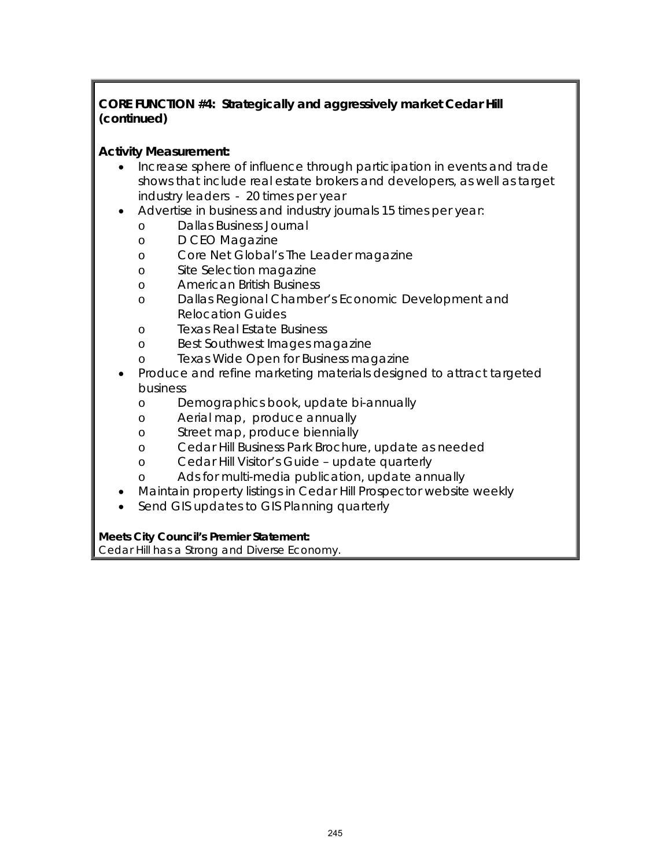## **CORE FUNCTION #4: Strategically and aggressively market Cedar Hill (continued)**

#### **Activity Measurement:**

- Increase sphere of influence through participation in events and trade shows that include real estate brokers and developers, as well as target industry leaders - 20 times per year
- Advertise in business and industry journals 15 times per year:
	- o *Dallas Business Journal*
	- o *D CEO* Magazine
	- o Core Net Global's *The Leader* magazine
	- o *Site Selection* magazine
	- o *American British Business*
	- o Dallas Regional Chamber's Economic Development and Relocation Guides
	- o *Texas Real Estate Business*
	- o *Best Southwest Images* magazine
	- o *Texas Wide Open for Business* magazine
- Produce and refine marketing materials designed to attract targeted business
	- o Demographics book, update bi-annually
	- o Aerial map, produce annually
	- o Street map, produce biennially
	- o Cedar Hill Business Park Brochure, update as needed
	- o Cedar Hill Visitor's Guide update quarterly
	- o Ads for multi-media publication, update annually
- Maintain property listings in Cedar Hill Prospector website weekly
- Send GIS updates to GIS Planning quarterly

**Meets City Council's Premier Statement:**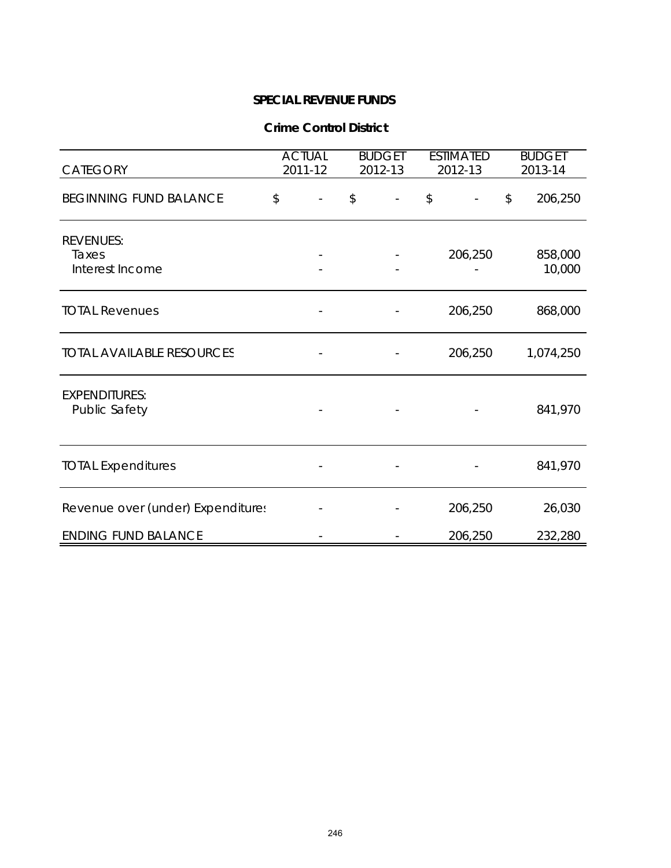#### **Crime Control District**

| CATEGORY                                     | <b>ACTUAL</b><br>2011-12 | <b>BUDGET</b><br>2012-13 | <b>ESTIMATED</b><br>2012-13 |                          |                         | <b>BUDGET</b><br>2013-14 |
|----------------------------------------------|--------------------------|--------------------------|-----------------------------|--------------------------|-------------------------|--------------------------|
| <b>BEGINNING FUND BALANCE</b>                | \$                       | \$                       | \$                          | $\overline{\phantom{a}}$ | $\sqrt[6]{\frac{1}{2}}$ | 206,250                  |
| <b>REVENUES:</b><br>Taxes<br>Interest Income |                          |                          |                             | 206,250                  |                         | 858,000<br>10,000        |
| <b>TOTAL Revenues</b>                        |                          |                          |                             | 206,250                  |                         | 868,000                  |
| <b>TOTAL AVAILABLE RESOURCES</b>             |                          |                          |                             | 206,250                  |                         | 1,074,250                |
| <b>EXPENDITURES:</b><br><b>Public Safety</b> |                          |                          |                             |                          |                         | 841,970                  |
| <b>TOTAL Expenditures</b>                    |                          |                          |                             |                          |                         | 841,970                  |
| Revenue over (under) Expenditures            |                          |                          |                             | 206,250                  |                         | 26,030                   |
| <b>ENDING FUND BALANCE</b>                   |                          |                          |                             | 206,250                  |                         | 232,280                  |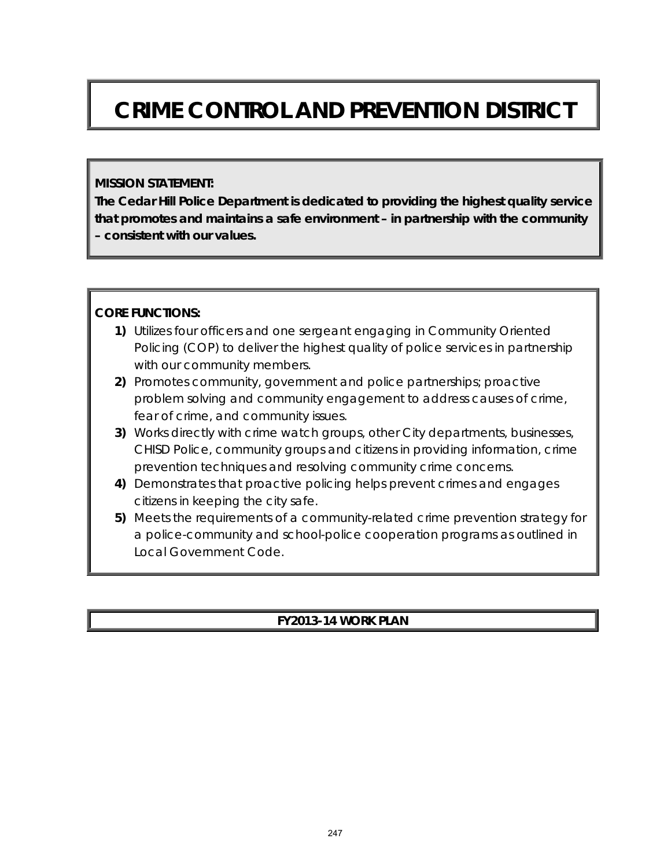# **CRIME CONTROL AND PREVENTION DISTRICT**

#### **MISSION STATEMENT:**

**The Cedar Hill Police Department is dedicated to providing the highest quality service that promotes and maintains a safe environment – in partnership with the community – consistent with our values.** 

#### **CORE FUNCTIONS:**

- **1)** Utilizes four officers and one sergeant engaging in Community Oriented Policing (COP) to deliver the highest quality of police services in partnership with our community members.
- **2)** Promotes community, government and police partnerships; proactive problem solving and community engagement to address causes of crime, fear of crime, and community issues.
- **3)** Works directly with crime watch groups, other City departments, businesses, CHISD Police, community groups and citizens in providing information, crime prevention techniques and resolving community crime concerns.
- **4)** Demonstrates that proactive policing helps prevent crimes and engages citizens in keeping the city safe.
- **5)** Meets the requirements of a community-related crime prevention strategy for a police-community and school-police cooperation programs as outlined in Local Government Code.

# **FY2013-14 WORK PLAN**